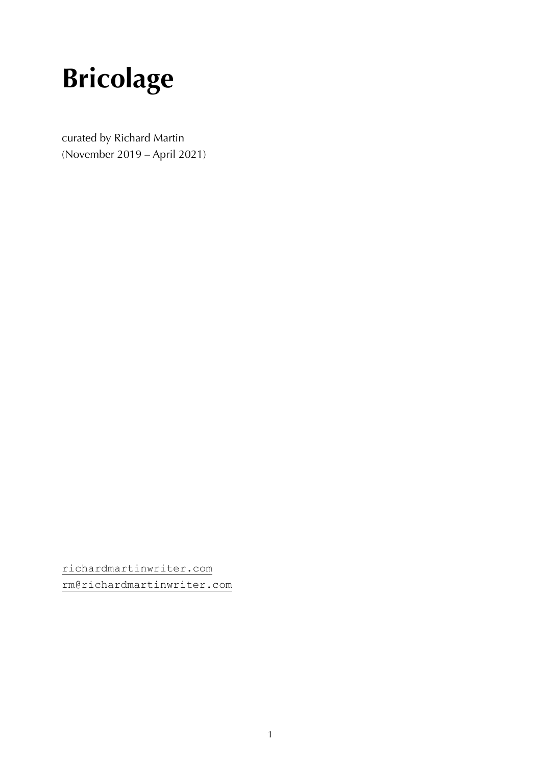

curated by Richard Martin (November 2019 – April 2021)

[richardmartinwriter.com](https://richardmartinwriter.com/) [rm@richardmartinwriter.com](mailto:rm@richardmartinwriter.com)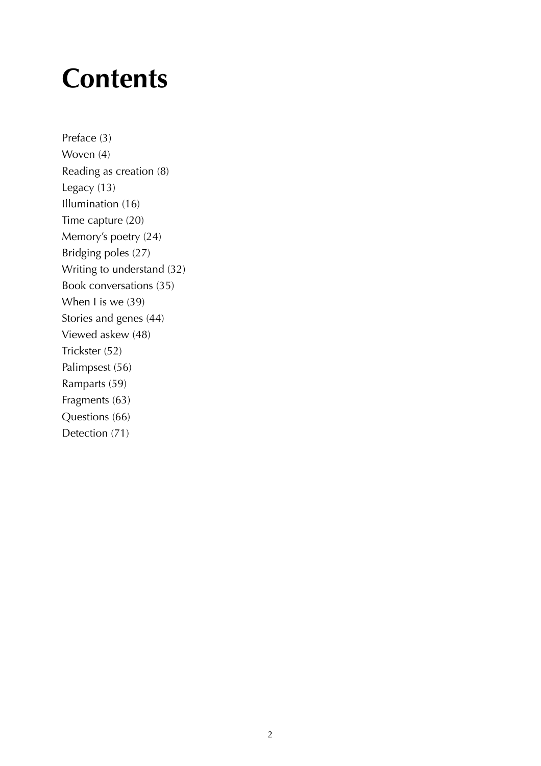#### **Contents**

Preface (3) Woven (4) Reading as creation (8) Legacy (13) Illumination (16) Time capture (20) Memory's poetry (24) Bridging poles (27) Writing to understand (32) Book conversations (35) When I is we (39) Stories and genes (44) Viewed askew (48) Trickster (52) Palimpsest (56) Ramparts (59) Fragments (63) Questions (66) Detection (71)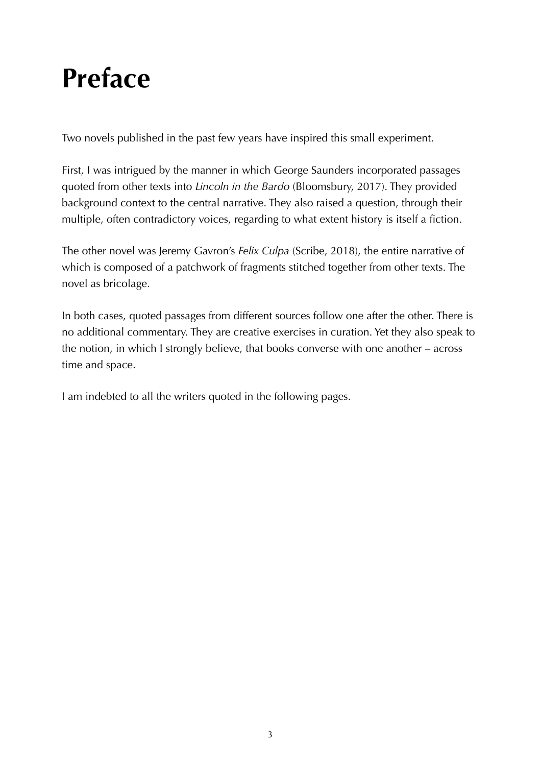## **Preface**

Two novels published in the past few years have inspired this small experiment.

First, I was intrigued by the manner in which George Saunders incorporated passages quoted from other texts into *Lincoln in the Bardo* (Bloomsbury, 2017). They provided background context to the central narrative. They also raised a question, through their multiple, often contradictory voices, regarding to what extent history is itself a fiction.

The other novel was Jeremy Gavron's *Felix Culpa* (Scribe, 2018), the entire narrative of which is composed of a patchwork of fragments stitched together from other texts. The novel as bricolage.

In both cases, quoted passages from different sources follow one after the other. There is no additional commentary. They are creative exercises in curation. Yet they also speak to the notion, in which I strongly believe, that books converse with one another – across time and space.

I am indebted to all the writers quoted in the following pages.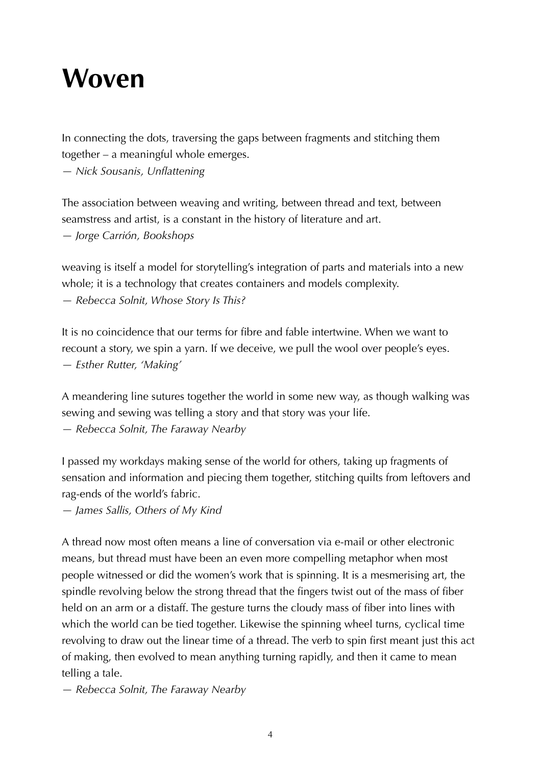#### **Woven**

In connecting the dots, traversing the gaps between fragments and stitching them together – a meaningful whole emerges. *— Nick Sousanis, Unflattening*

The association between weaving and writing, between thread and text, between seamstress and artist, is a constant in the history of literature and art. *— Jorge Carrión, Bookshops*

weaving is itself a model for storytelling's integration of parts and materials into a new whole; it is a technology that creates containers and models complexity. *— Rebecca Solnit, Whose Story Is This?*

It is no coincidence that our terms for fibre and fable intertwine. When we want to recount a story, we spin a yarn. If we deceive, we pull the wool over people's eyes. *— Esther Rutter, 'Making'*

A meandering line sutures together the world in some new way, as though walking was sewing and sewing was telling a story and that story was your life. *— Rebecca Solnit, The Faraway Nearby*

I passed my workdays making sense of the world for others, taking up fragments of sensation and information and piecing them together, stitching quilts from leftovers and rag-ends of the world's fabric.

*— James Sallis, Others of My Kind*

A thread now most often means a line of conversation via e-mail or other electronic means, but thread must have been an even more compelling metaphor when most people witnessed or did the women's work that is spinning. It is a mesmerising art, the spindle revolving below the strong thread that the fingers twist out of the mass of fiber held on an arm or a distaff. The gesture turns the cloudy mass of fiber into lines with which the world can be tied together. Likewise the spinning wheel turns, cyclical time revolving to draw out the linear time of a thread. The verb to spin first meant just this act of making, then evolved to mean anything turning rapidly, and then it came to mean telling a tale.

*— Rebecca Solnit, The Faraway Nearby*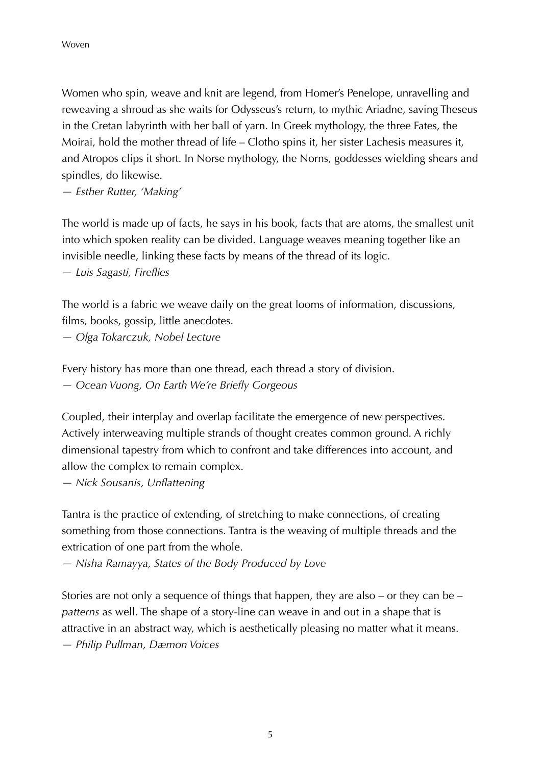Women who spin, weave and knit are legend, from Homer's Penelope, unravelling and reweaving a shroud as she waits for Odysseus's return, to mythic Ariadne, saving Theseus in the Cretan labyrinth with her ball of yarn. In Greek mythology, the three Fates, the Moirai, hold the mother thread of life – Clotho spins it, her sister Lachesis measures it, and Atropos clips it short. In Norse mythology, the Norns, goddesses wielding shears and spindles, do likewise.

*— Esther Rutter, 'Making'*

The world is made up of facts, he says in his book, facts that are atoms, the smallest unit into which spoken reality can be divided. Language weaves meaning together like an invisible needle, linking these facts by means of the thread of its logic. *— Luis Sagasti, Fireflies*

The world is a fabric we weave daily on the great looms of information, discussions, films, books, gossip, little anecdotes.

*— Olga Tokarczuk, Nobel Lecture*

Every history has more than one thread, each thread a story of division. *— Ocean Vuong, On Earth We're Briefly Gorgeous*

Coupled, their interplay and overlap facilitate the emergence of new perspectives. Actively interweaving multiple strands of thought creates common ground. A richly dimensional tapestry from which to confront and take differences into account, and allow the complex to remain complex.

*— Nick Sousanis, Unflattening*

Tantra is the practice of extending, of stretching to make connections, of creating something from those connections. Tantra is the weaving of multiple threads and the extrication of one part from the whole.

*— Nisha Ramayya, States of the Body Produced by Love*

Stories are not only a sequence of things that happen, they are also – or they can be – *patterns* as well. The shape of a story-line can weave in and out in a shape that is attractive in an abstract way, which is aesthetically pleasing no matter what it means. *— Philip Pullman, Dæmon Voices*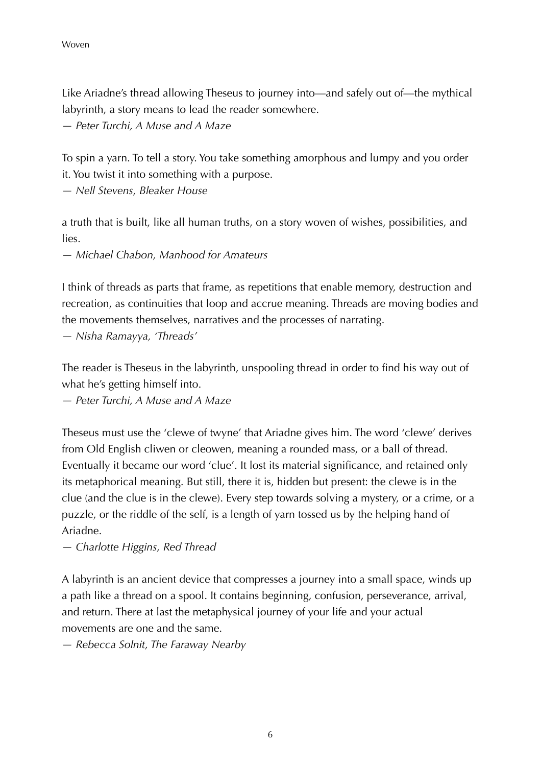Like Ariadne's thread allowing Theseus to journey into—and safely out of—the mythical labyrinth, a story means to lead the reader somewhere. *— Peter Turchi, A Muse and A Maze*

To spin a yarn. To tell a story. You take something amorphous and lumpy and you order it. You twist it into something with a purpose.

*— Nell Stevens, Bleaker House*

a truth that is built, like all human truths, on a story woven of wishes, possibilities, and lies.

*— Michael Chabon, Manhood for Amateurs*

I think of threads as parts that frame, as repetitions that enable memory, destruction and recreation, as continuities that loop and accrue meaning. Threads are moving bodies and the movements themselves, narratives and the processes of narrating.

*— Nisha Ramayya, 'Threads'*

The reader is Theseus in the labyrinth, unspooling thread in order to find his way out of what he's getting himself into.

*— Peter Turchi, A Muse and A Maze*

Theseus must use the 'clewe of twyne' that Ariadne gives him. The word 'clewe' derives from Old English cliwen or cleowen, meaning a rounded mass, or a ball of thread. Eventually it became our word 'clue'. It lost its material significance, and retained only its metaphorical meaning. But still, there it is, hidden but present: the clewe is in the clue (and the clue is in the clewe). Every step towards solving a mystery, or a crime, or a puzzle, or the riddle of the self, is a length of yarn tossed us by the helping hand of Ariadne.

*— Charlotte Higgins, Red Thread*

A labyrinth is an ancient device that compresses a journey into a small space, winds up a path like a thread on a spool. It contains beginning, confusion, perseverance, arrival, and return. There at last the metaphysical journey of your life and your actual movements are one and the same.

*— Rebecca Solnit, The Faraway Nearby*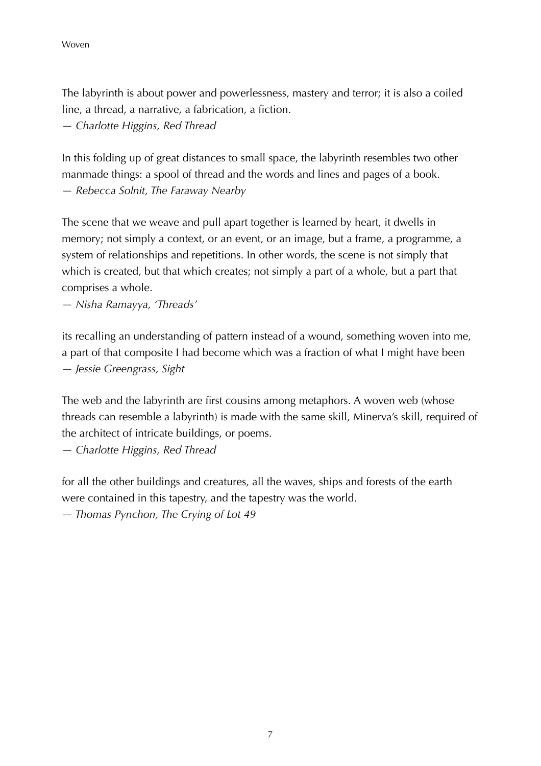The labyrinth is about power and powerlessness, mastery and terror; it is also a coiled line, a thread, a narrative, a fabrication, a fiction.

*— Charlotte Higgins, Red Thread*

In this folding up of great distances to small space, the labyrinth resembles two other manmade things: a spool of thread and the words and lines and pages of a book. *— Rebecca Solnit, The Faraway Nearby*

The scene that we weave and pull apart together is learned by heart, it dwells in memory; not simply a context, or an event, or an image, but a frame, a programme, a system of relationships and repetitions. In other words, the scene is not simply that which is created, but that which creates; not simply a part of a whole, but a part that comprises a whole.

*— Nisha Ramayya, 'Threads'*

its recalling an understanding of pattern instead of a wound, something woven into me, a part of that composite I had become which was a fraction of what I might have been *— Jessie Greengrass, Sight*

The web and the labyrinth are first cousins among metaphors. A woven web (whose threads can resemble a labyrinth) is made with the same skill, Minerva's skill, required of the architect of intricate buildings, or poems.

*— Charlotte Higgins, Red Thread*

for all the other buildings and creatures, all the waves, ships and forests of the earth were contained in this tapestry, and the tapestry was the world. *— Thomas Pynchon, The Crying of Lot 49*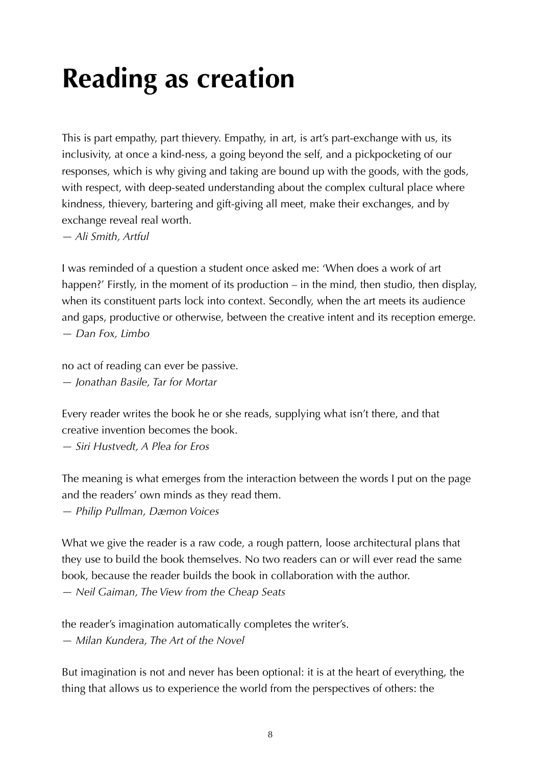# **Reading as creation**

This is part empathy, part thievery. Empathy, in art, is art's part-exchange with us, its inclusivity, at once a kind-ness, a going beyond the self, and a pickpocketing of our responses, which is why giving and taking are bound up with the goods, with the gods, with respect, with deep-seated understanding about the complex cultural place where kindness, thievery, bartering and gift-giving all meet, make their exchanges, and by exchange reveal real worth.

*— Ali Smith, Artful*

I was reminded of a question a student once asked me: 'When does a work of art happen?' Firstly, in the moment of its production – in the mind, then studio, then display, when its constituent parts lock into context. Secondly, when the art meets its audience and gaps, productive or otherwise, between the creative intent and its reception emerge. *— Dan Fox, Limbo*

no act of reading can ever be passive.

*— Jonathan Basile, Tar for Mortar*

Every reader writes the book he or she reads, supplying what isn't there, and that creative invention becomes the book.

*— Siri Hustvedt, A Plea for Eros*

The meaning is what emerges from the interaction between the words I put on the page and the readers' own minds as they read them.

*— Philip Pullman, Dæmon Voices*

What we give the reader is a raw code, a rough pattern, loose architectural plans that they use to build the book themselves. No two readers can or will ever read the same book, because the reader builds the book in collaboration with the author. *— Neil Gaiman, The View from the Cheap Seats*

the reader's imagination automatically completes the writer's. *— Milan Kundera, The Art of the Novel*

But imagination is not and never has been optional: it is at the heart of everything, the thing that allows us to experience the world from the perspectives of others: the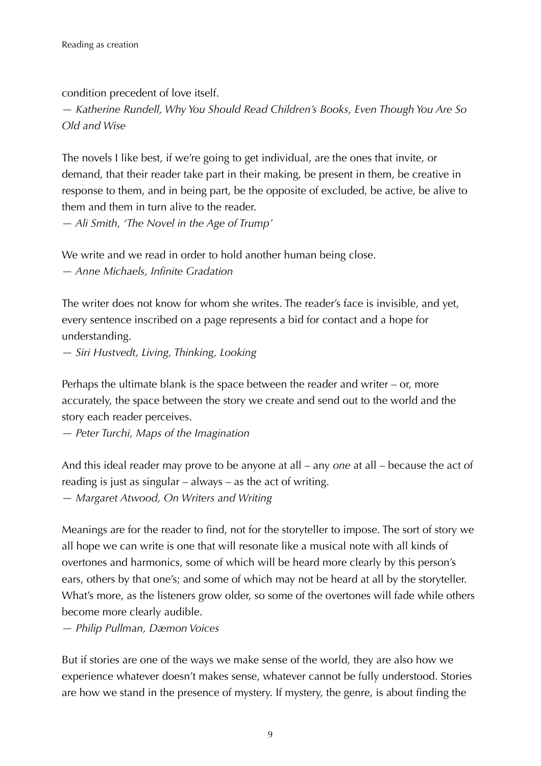condition precedent of love itself. *— Katherine Rundell, Why You Should Read Children's Books, Even Though You Are So Old and Wise*

The novels I like best, if we're going to get individual, are the ones that invite, or demand, that their reader take part in their making, be present in them, be creative in response to them, and in being part, be the opposite of excluded, be active, be alive to them and them in turn alive to the reader.

*— Ali Smith, 'The Novel in the Age of Trump'*

We write and we read in order to hold another human being close. *— Anne Michaels, Infinite Gradation*

The writer does not know for whom she writes. The reader's face is invisible, and yet, every sentence inscribed on a page represents a bid for contact and a hope for understanding.

*— Siri Hustvedt, Living, Thinking, Looking*

Perhaps the ultimate blank is the space between the reader and writer – or, more accurately, the space between the story we create and send out to the world and the story each reader perceives.

*— Peter Turchi, Maps of the Imagination*

And this ideal reader may prove to be anyone at all – any *one* at all – because the act of reading is just as singular – always – as the act of writing. *— Margaret Atwood, On Writers and Writing*

Meanings are for the reader to find, not for the storyteller to impose. The sort of story we all hope we can write is one that will resonate like a musical note with all kinds of overtones and harmonics, some of which will be heard more clearly by this person's ears, others by that one's; and some of which may not be heard at all by the storyteller. What's more, as the listeners grow older, so some of the overtones will fade while others become more clearly audible.

*— Philip Pullman, Dæmon Voices*

But if stories are one of the ways we make sense of the world, they are also how we experience whatever doesn't makes sense, whatever cannot be fully understood. Stories are how we stand in the presence of mystery. If mystery, the genre, is about finding the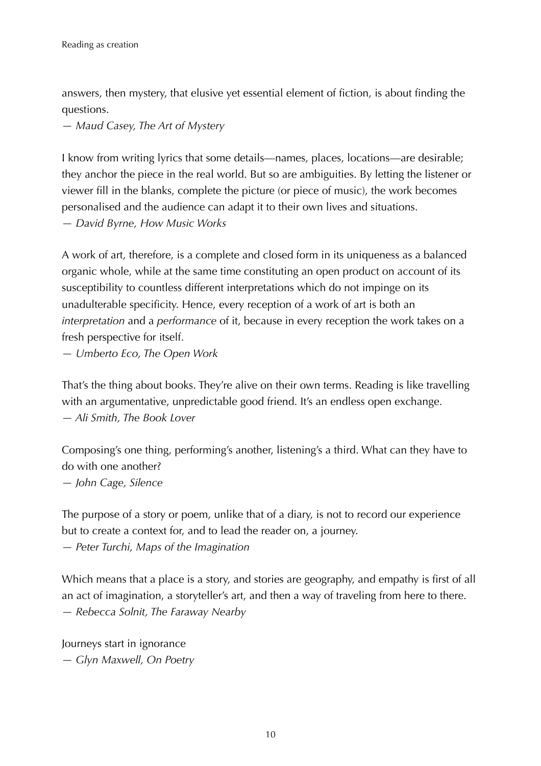answers, then mystery, that elusive yet essential element of fiction, is about finding the questions.

*— Maud Casey, The Art of Mystery*

I know from writing lyrics that some details—names, places, locations—are desirable; they anchor the piece in the real world. But so are ambiguities. By letting the listener or viewer fill in the blanks, complete the picture (or piece of music), the work becomes personalised and the audience can adapt it to their own lives and situations. *— David Byrne, How Music Works*

A work of art, therefore, is a complete and closed form in its uniqueness as a balanced organic whole, while at the same time constituting an open product on account of its susceptibility to countless different interpretations which do not impinge on its unadulterable specificity. Hence, every reception of a work of art is both an *interpretation* and a *performance* of it, because in every reception the work takes on a fresh perspective for itself.

*— Umberto Eco, The Open Work*

That's the thing about books. They're alive on their own terms. Reading is like travelling with an argumentative, unpredictable good friend. It's an endless open exchange. *— Ali Smith, The Book Lover*

Composing's one thing, performing's another, listening's a third. What can they have to do with one another? *— John Cage, Silence*

The purpose of a story or poem, unlike that of a diary, is not to record our experience but to create a context for, and to lead the reader on, a journey. *— Peter Turchi, Maps of the Imagination*

Which means that a place is a story, and stories are geography, and empathy is first of all an act of imagination, a storyteller's art, and then a way of traveling from here to there. *— Rebecca Solnit, The Faraway Nearby*

Journeys start in ignorance *— Glyn Maxwell, On Poetry*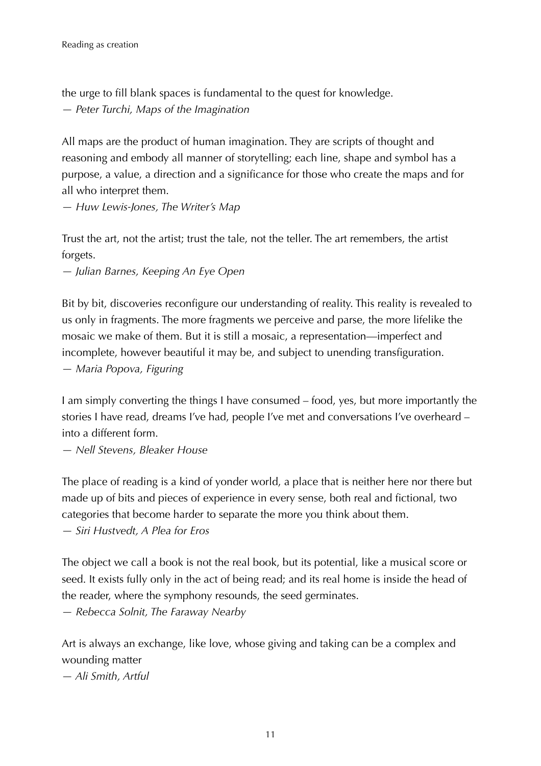the urge to fill blank spaces is fundamental to the quest for knowledge. *— Peter Turchi, Maps of the Imagination*

All maps are the product of human imagination. They are scripts of thought and reasoning and embody all manner of storytelling; each line, shape and symbol has a purpose, a value, a direction and a significance for those who create the maps and for all who interpret them.

*— Huw Lewis-Jones, The Writer's Map*

Trust the art, not the artist; trust the tale, not the teller. The art remembers, the artist forgets.

*— Julian Barnes, Keeping An Eye Open*

Bit by bit, discoveries reconfigure our understanding of reality. This reality is revealed to us only in fragments. The more fragments we perceive and parse, the more lifelike the mosaic we make of them. But it is still a mosaic, a representation—imperfect and incomplete, however beautiful it may be, and subject to unending transfiguration. *— Maria Popova, Figuring*

I am simply converting the things I have consumed – food, yes, but more importantly the stories I have read, dreams I've had, people I've met and conversations I've overheard – into a different form.

*— Nell Stevens, Bleaker House*

The place of reading is a kind of yonder world, a place that is neither here nor there but made up of bits and pieces of experience in every sense, both real and fictional, two categories that become harder to separate the more you think about them. *— Siri Hustvedt, A Plea for Eros*

The object we call a book is not the real book, but its potential, like a musical score or seed. It exists fully only in the act of being read; and its real home is inside the head of the reader, where the symphony resounds, the seed germinates.

*— Rebecca Solnit, The Faraway Nearby*

Art is always an exchange, like love, whose giving and taking can be a complex and wounding matter

*— Ali Smith, Artful*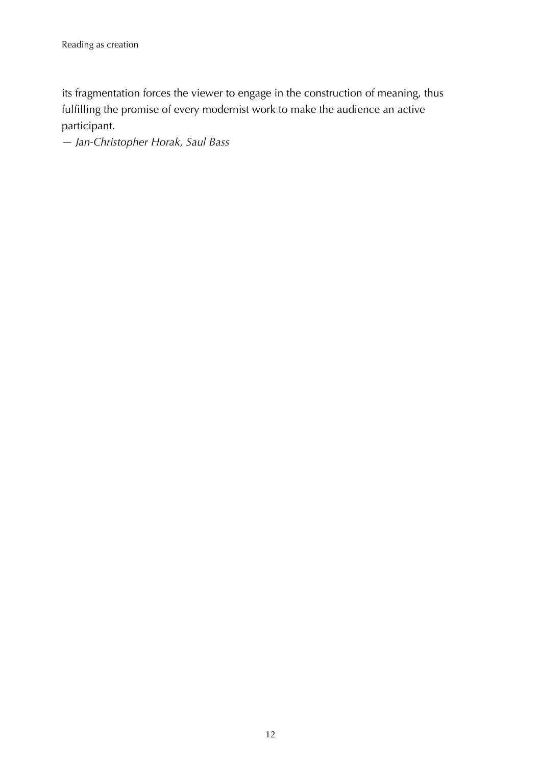its fragmentation forces the viewer to engage in the construction of meaning, thus fulfilling the promise of every modernist work to make the audience an active participant.

*— Jan-Christopher Horak, Saul Bass*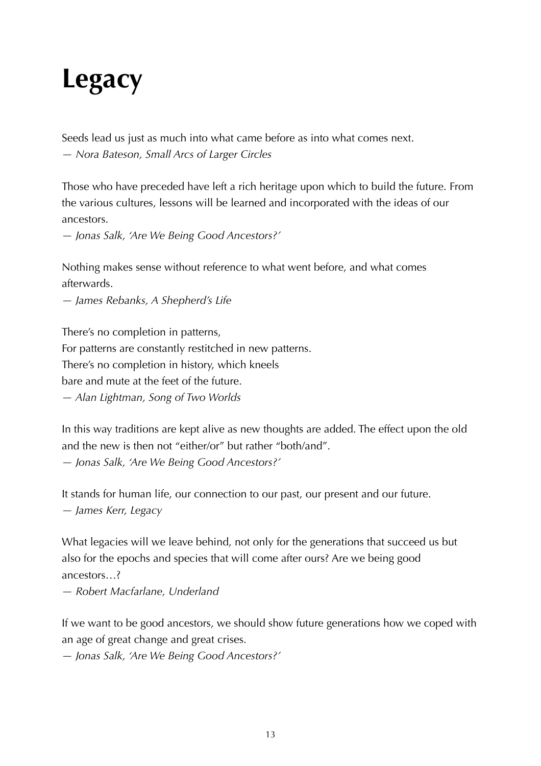#### **Legacy**

Seeds lead us just as much into what came before as into what comes next. *— Nora Bateson, Small Arcs of Larger Circles*

Those who have preceded have left a rich heritage upon which to build the future. From the various cultures, lessons will be learned and incorporated with the ideas of our ancestors.

*— Jonas Salk, 'Are We Being Good Ancestors?'*

Nothing makes sense without reference to what went before, and what comes afterwards.

*— James Rebanks, A Shepherd's Life*

There's no completion in patterns, For patterns are constantly restitched in new patterns. There's no completion in history, which kneels bare and mute at the feet of the future. *— Alan Lightman, Song of Two Worlds*

In this way traditions are kept alive as new thoughts are added. The effect upon the old and the new is then not "either/or" but rather "both/and". *— Jonas Salk, 'Are We Being Good Ancestors?'*

It stands for human life, our connection to our past, our present and our future. *— James Kerr, Legacy*

What legacies will we leave behind, not only for the generations that succeed us but also for the epochs and species that will come after ours? Are we being good ancestors…?

*— Robert Macfarlane, Underland*

If we want to be good ancestors, we should show future generations how we coped with an age of great change and great crises.

*— Jonas Salk, 'Are We Being Good Ancestors?'*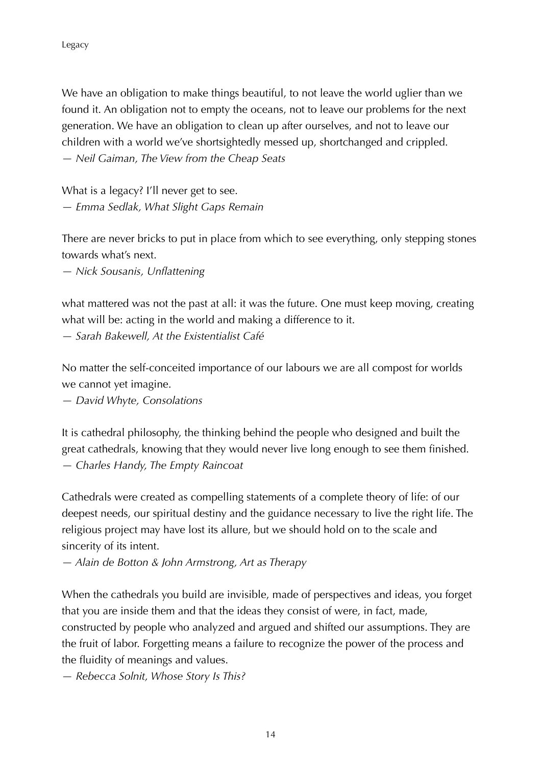We have an obligation to make things beautiful, to not leave the world uglier than we found it. An obligation not to empty the oceans, not to leave our problems for the next generation. We have an obligation to clean up after ourselves, and not to leave our children with a world we've shortsightedly messed up, shortchanged and crippled. *— Neil Gaiman, The View from the Cheap Seats*

What is a legacy? I'll never get to see. *— Emma Sedlak, What Slight Gaps Remain*

There are never bricks to put in place from which to see everything, only stepping stones towards what's next.

*— Nick Sousanis, Unflattening*

what mattered was not the past at all: it was the future. One must keep moving, creating what will be: acting in the world and making a difference to it. *— Sarah Bakewell, At the Existentialist Café*

No matter the self-conceited importance of our labours we are all compost for worlds we cannot yet imagine.

*— David Whyte, Consolations*

It is cathedral philosophy, the thinking behind the people who designed and built the great cathedrals, knowing that they would never live long enough to see them finished. *— Charles Handy, The Empty Raincoat*

Cathedrals were created as compelling statements of a complete theory of life: of our deepest needs, our spiritual destiny and the guidance necessary to live the right life. The religious project may have lost its allure, but we should hold on to the scale and sincerity of its intent.

*— Alain de Botton & John Armstrong, Art as Therapy*

When the cathedrals you build are invisible, made of perspectives and ideas, you forget that you are inside them and that the ideas they consist of were, in fact, made, constructed by people who analyzed and argued and shifted our assumptions. They are the fruit of labor. Forgetting means a failure to recognize the power of the process and the fluidity of meanings and values.

*— Rebecca Solnit, Whose Story Is This?*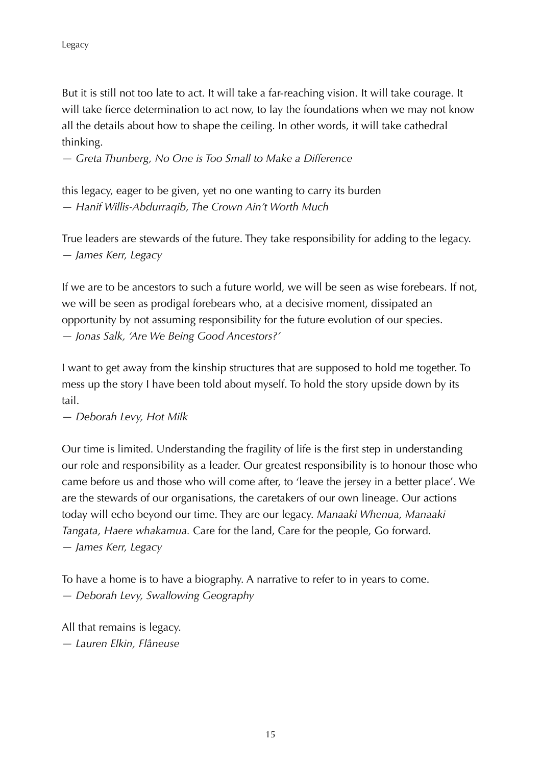But it is still not too late to act. It will take a far-reaching vision. It will take courage. It will take fierce determination to act now, to lay the foundations when we may not know all the details about how to shape the ceiling. In other words, it will take cathedral thinking.

*— Greta Thunberg, No One is Too Small to Make a Difference*

this legacy, eager to be given, yet no one wanting to carry its burden *— Hanif Willis-Abdurraqib, The Crown Ain't Worth Much*

True leaders are stewards of the future. They take responsibility for adding to the legacy. *— James Kerr, Legacy*

If we are to be ancestors to such a future world, we will be seen as wise forebears. If not, we will be seen as prodigal forebears who, at a decisive moment, dissipated an opportunity by not assuming responsibility for the future evolution of our species. *— Jonas Salk, 'Are We Being Good Ancestors?'*

I want to get away from the kinship structures that are supposed to hold me together. To mess up the story I have been told about myself. To hold the story upside down by its tail.

*— Deborah Levy, Hot Milk*

Our time is limited. Understanding the fragility of life is the first step in understanding our role and responsibility as a leader. Our greatest responsibility is to honour those who came before us and those who will come after, to 'leave the jersey in a better place'. We are the stewards of our organisations, the caretakers of our own lineage. Our actions today will echo beyond our time. They are our legacy. *Manaaki Whenua, Manaaki Tangata, Haere whakamua.* Care for the land, Care for the people, Go forward. *— James Kerr, Legacy*

To have a home is to have a biography. A narrative to refer to in years to come. *— Deborah Levy, Swallowing Geography*

All that remains is legacy. *— Lauren Elkin, Flâneuse*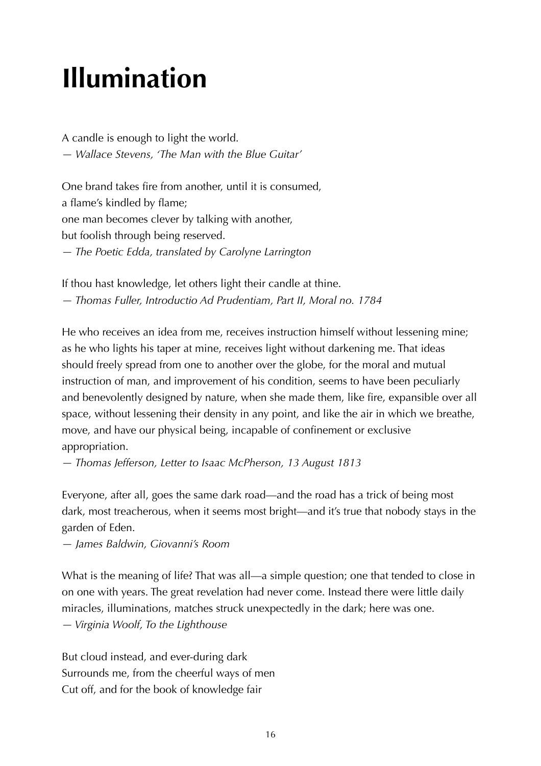## **Illumination**

A candle is enough to light the world. *— Wallace Stevens, 'The Man with the Blue Guitar'*

One brand takes fire from another, until it is consumed, a flame's kindled by flame; one man becomes clever by talking with another, but foolish through being reserved. *— The Poetic Edda, translated by Carolyne Larrington*

If thou hast knowledge, let others light their candle at thine. *— Thomas Fuller, Introductio Ad Prudentiam, Part II, Moral no. 1784*

He who receives an idea from me, receives instruction himself without lessening mine; as he who lights his taper at mine, receives light without darkening me. That ideas should freely spread from one to another over the globe, for the moral and mutual instruction of man, and improvement of his condition, seems to have been peculiarly and benevolently designed by nature, when she made them, like fire, expansible over all space, without lessening their density in any point, and like the air in which we breathe, move, and have our physical being, incapable of confinement or exclusive appropriation.

*— Thomas Jefferson, Letter to Isaac McPherson, 13 August 1813*

Everyone, after all, goes the same dark road—and the road has a trick of being most dark, most treacherous, when it seems most bright—and it's true that nobody stays in the garden of Eden.

*— James Baldwin, Giovanni's Room*

What is the meaning of life? That was all—a simple question; one that tended to close in on one with years. The great revelation had never come. Instead there were little daily miracles, illuminations, matches struck unexpectedly in the dark; here was one. *— Virginia Woolf, To the Lighthouse*

But cloud instead, and ever-during dark Surrounds me, from the cheerful ways of men Cut off, and for the book of knowledge fair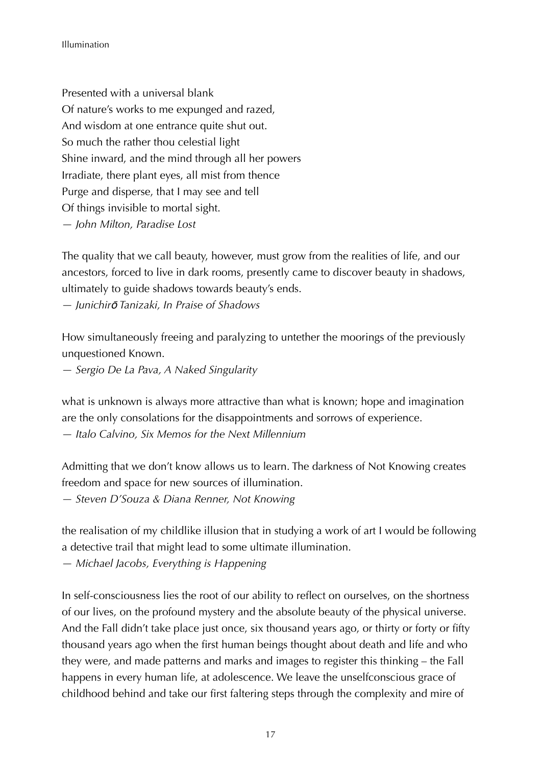Presented with a universal blank Of nature's works to me expunged and razed, And wisdom at one entrance quite shut out. So much the rather thou celestial light Shine inward, and the mind through all her powers Irradiate, there plant eyes, all mist from thence Purge and disperse, that I may see and tell Of things invisible to mortal sight. *— John Milton, Paradise Lost*

The quality that we call beauty, however, must grow from the realities of life, and our ancestors, forced to live in dark rooms, presently came to discover beauty in shadows, ultimately to guide shadows towards beauty's ends. *— Junichir*ō *Tanizaki, In Praise of Shadows*

How simultaneously freeing and paralyzing to untether the moorings of the previously unquestioned Known.

*— Sergio De La Pava, A Naked Singularity*

what is unknown is always more attractive than what is known; hope and imagination are the only consolations for the disappointments and sorrows of experience. *— Italo Calvino, Six Memos for the Next Millennium*

Admitting that we don't know allows us to learn. The darkness of Not Knowing creates freedom and space for new sources of illumination.

*— Steven D'Souza & Diana Renner, Not Knowing*

the realisation of my childlike illusion that in studying a work of art I would be following a detective trail that might lead to some ultimate illumination.

*— Michael Jacobs, Everything is Happening*

In self-consciousness lies the root of our ability to reflect on ourselves, on the shortness of our lives, on the profound mystery and the absolute beauty of the physical universe. And the Fall didn't take place just once, six thousand years ago, or thirty or forty or fifty thousand years ago when the first human beings thought about death and life and who they were, and made patterns and marks and images to register this thinking – the Fall happens in every human life, at adolescence. We leave the unselfconscious grace of childhood behind and take our first faltering steps through the complexity and mire of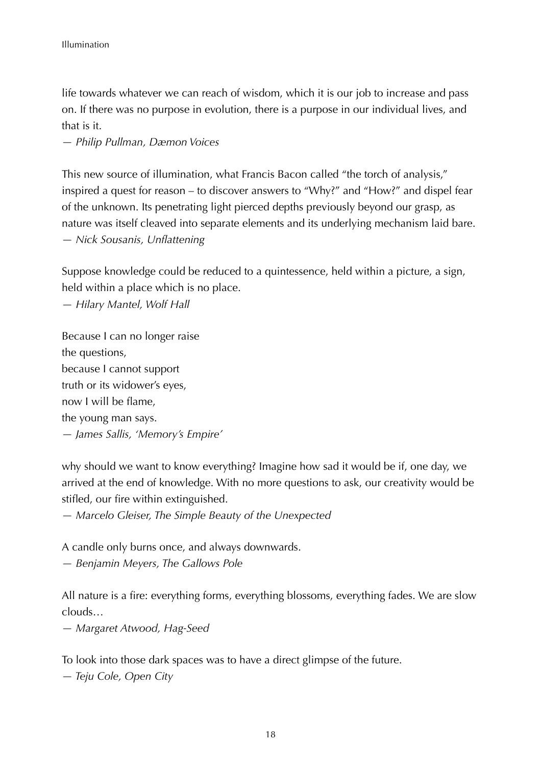life towards whatever we can reach of wisdom, which it is our job to increase and pass on. If there was no purpose in evolution, there is a purpose in our individual lives, and that is it.

*— Philip Pullman, Dæmon Voices*

This new source of illumination, what Francis Bacon called "the torch of analysis," inspired a quest for reason – to discover answers to "Why?" and "How?" and dispel fear of the unknown. Its penetrating light pierced depths previously beyond our grasp, as nature was itself cleaved into separate elements and its underlying mechanism laid bare. *— Nick Sousanis, Unflattening*

Suppose knowledge could be reduced to a quintessence, held within a picture, a sign, held within a place which is no place.

*— Hilary Mantel, Wolf Hall*

Because I can no longer raise the questions, because I cannot support truth or its widower's eyes, now I will be flame, the young man says. *— James Sallis, 'Memory's Empire'*

why should we want to know everything? Imagine how sad it would be if, one day, we arrived at the end of knowledge. With no more questions to ask, our creativity would be stifled, our fire within extinguished.

*— Marcelo Gleiser, The Simple Beauty of the Unexpected*

A candle only burns once, and always downwards.

*— Benjamin Meyers, The Gallows Pole*

All nature is a fire: everything forms, everything blossoms, everything fades. We are slow clouds…

*— Margaret Atwood, Hag-Seed*

To look into those dark spaces was to have a direct glimpse of the future.

*— Teju Cole, Open City*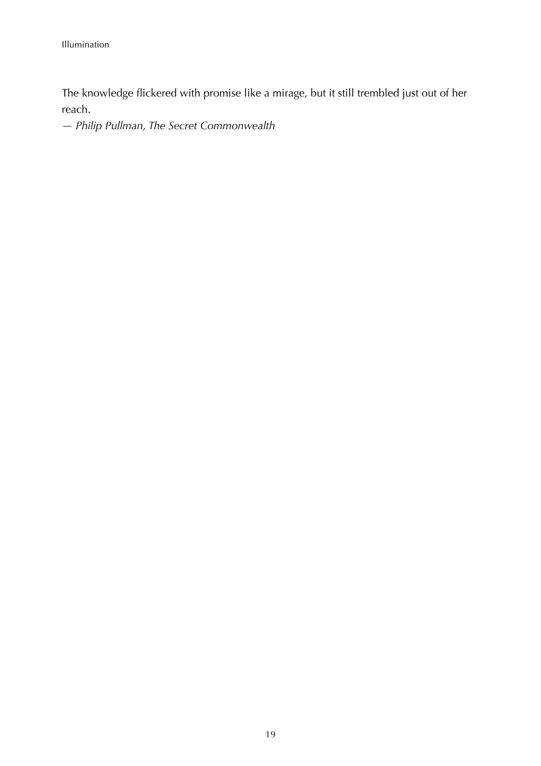The knowledge flickered with promise like a mirage, but it still trembled just out of her reach.

*— Philip Pullman, The Secret Commonwealth*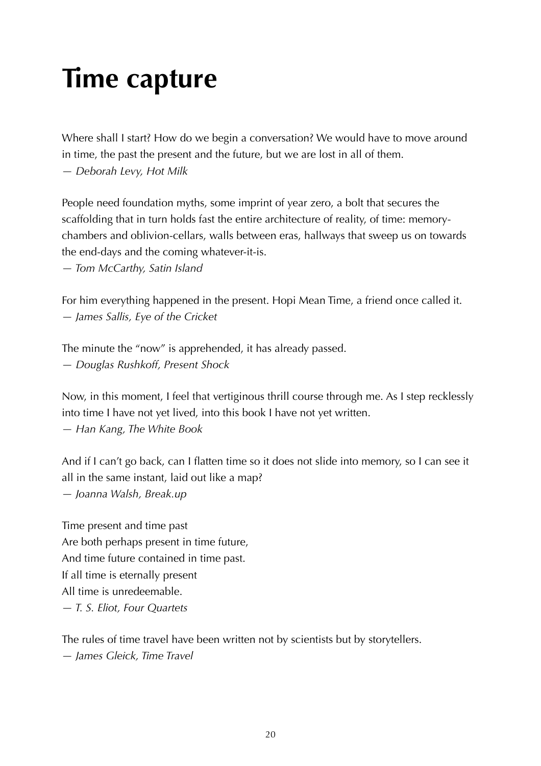## **Time capture**

Where shall I start? How do we begin a conversation? We would have to move around in time, the past the present and the future, but we are lost in all of them. *— Deborah Levy, Hot Milk*

People need foundation myths, some imprint of year zero, a bolt that secures the scaffolding that in turn holds fast the entire architecture of reality, of time: memorychambers and oblivion-cellars, walls between eras, hallways that sweep us on towards the end-days and the coming whatever-it-is.

*— Tom McCarthy, Satin Island*

For him everything happened in the present. Hopi Mean Time, a friend once called it. *— James Sallis, Eye of the Cricket*

The minute the "now" is apprehended, it has already passed. *— Douglas Rushkoff, Present Shock*

Now, in this moment, I feel that vertiginous thrill course through me. As I step recklessly into time I have not yet lived, into this book I have not yet written. *— Han Kang, The White Book*

And if I can't go back, can I flatten time so it does not slide into memory, so I can see it all in the same instant, laid out like a map? *— Joanna Walsh, Break.up*

Time present and time past Are both perhaps present in time future, And time future contained in time past. If all time is eternally present All time is unredeemable. *— T. S. Eliot, Four Quartets*

The rules of time travel have been written not by scientists but by storytellers. *— James Gleick, Time Travel*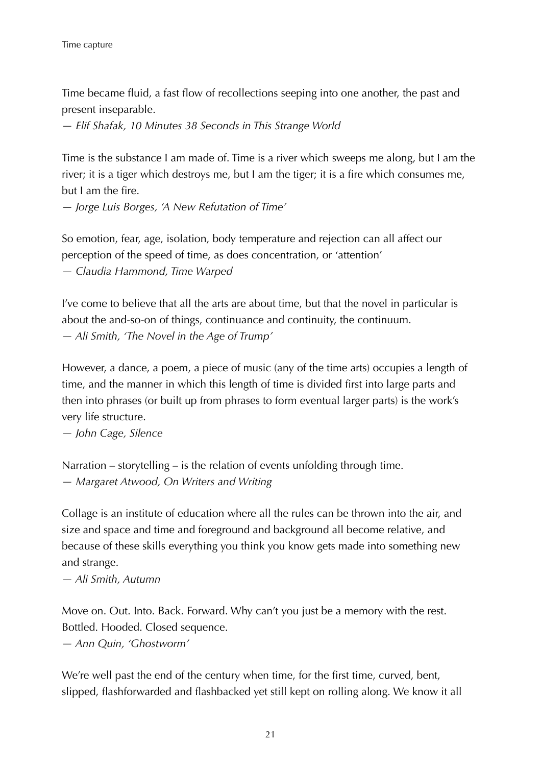Time became fluid, a fast flow of recollections seeping into one another, the past and present inseparable.

*— Elif Shafak, 10 Minutes 38 Seconds in This Strange World*

Time is the substance I am made of. Time is a river which sweeps me along, but I am the river; it is a tiger which destroys me, but I am the tiger; it is a fire which consumes me, but I am the fire.

*— Jorge Luis Borges, 'A New Refutation of Time'*

So emotion, fear, age, isolation, body temperature and rejection can all affect our perception of the speed of time, as does concentration, or 'attention' *— Claudia Hammond, Time Warped*

I've come to believe that all the arts are about time, but that the novel in particular is about the and-so-on of things, continuance and continuity, the continuum. *— Ali Smith, 'The Novel in the Age of Trump'*

However, a dance, a poem, a piece of music (any of the time arts) occupies a length of time, and the manner in which this length of time is divided first into large parts and then into phrases (or built up from phrases to form eventual larger parts) is the work's very life structure.

*— John Cage, Silence*

Narration – storytelling – is the relation of events unfolding through time. *— Margaret Atwood, On Writers and Writing*

Collage is an institute of education where all the rules can be thrown into the air, and size and space and time and foreground and background all become relative, and because of these skills everything you think you know gets made into something new and strange.

*— Ali Smith, Autumn*

Move on. Out. Into. Back. Forward. Why can't you just be a memory with the rest. Bottled. Hooded. Closed sequence. *— Ann Quin, 'Ghostworm'*

We're well past the end of the century when time, for the first time, curved, bent, slipped, flashforwarded and flashbacked yet still kept on rolling along. We know it all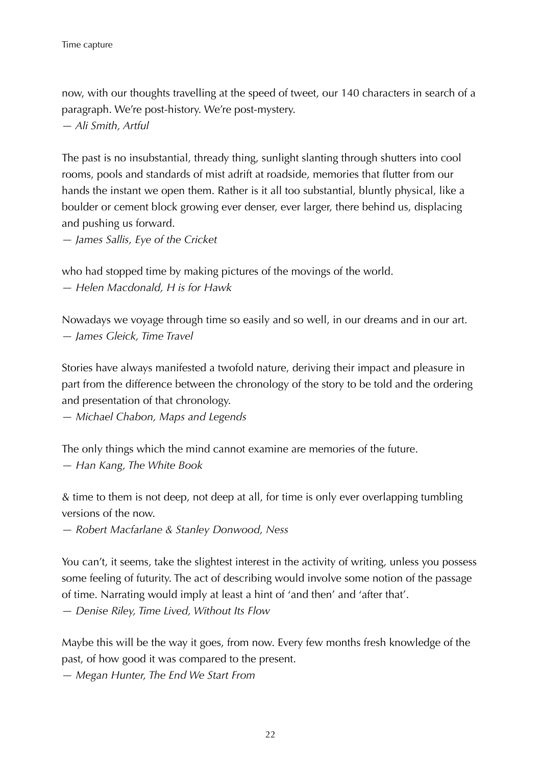now, with our thoughts travelling at the speed of tweet, our 140 characters in search of a paragraph. We're post-history. We're post-mystery.

*— Ali Smith, Artful*

The past is no insubstantial, thready thing, sunlight slanting through shutters into cool rooms, pools and standards of mist adrift at roadside, memories that flutter from our hands the instant we open them. Rather is it all too substantial, bluntly physical, like a boulder or cement block growing ever denser, ever larger, there behind us, displacing and pushing us forward.

*— James Sallis, Eye of the Cricket*

who had stopped time by making pictures of the movings of the world. *— Helen Macdonald, H is for Hawk*

Nowadays we voyage through time so easily and so well, in our dreams and in our art. *— James Gleick, Time Travel*

Stories have always manifested a twofold nature, deriving their impact and pleasure in part from the difference between the chronology of the story to be told and the ordering and presentation of that chronology.

*— Michael Chabon, Maps and Legends*

The only things which the mind cannot examine are memories of the future. *— Han Kang, The White Book*

& time to them is not deep, not deep at all, for time is only ever overlapping tumbling versions of the now.

*— Robert Macfarlane & Stanley Donwood, Ness*

You can't, it seems, take the slightest interest in the activity of writing, unless you possess some feeling of futurity. The act of describing would involve some notion of the passage of time. Narrating would imply at least a hint of 'and then' and 'after that'. *— Denise Riley, Time Lived, Without Its Flow*

Maybe this will be the way it goes, from now. Every few months fresh knowledge of the past, of how good it was compared to the present.

*— Megan Hunter, The End We Start From*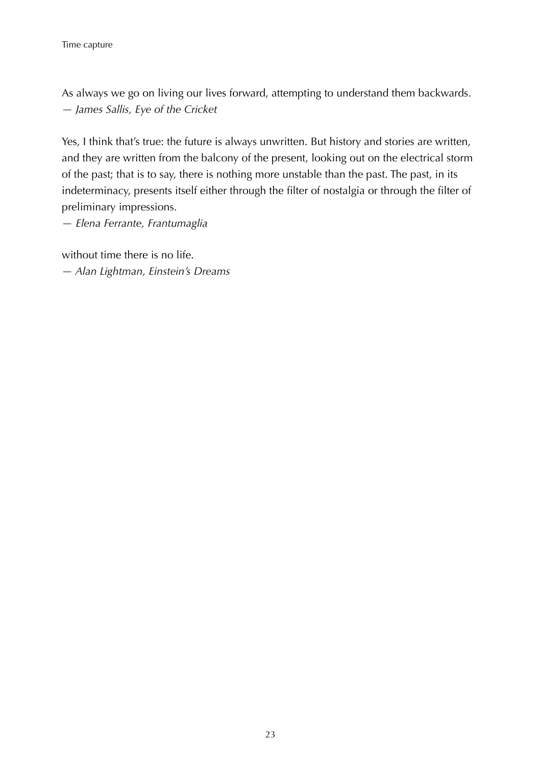As always we go on living our lives forward, attempting to understand them backwards. *— James Sallis, Eye of the Cricket*

Yes, I think that's true: the future is always unwritten. But history and stories are written, and they are written from the balcony of the present, looking out on the electrical storm of the past; that is to say, there is nothing more unstable than the past. The past, in its indeterminacy, presents itself either through the filter of nostalgia or through the filter of preliminary impressions.

*— Elena Ferrante, Frantumaglia*

without time there is no life. *— Alan Lightman, Einstein's Dreams*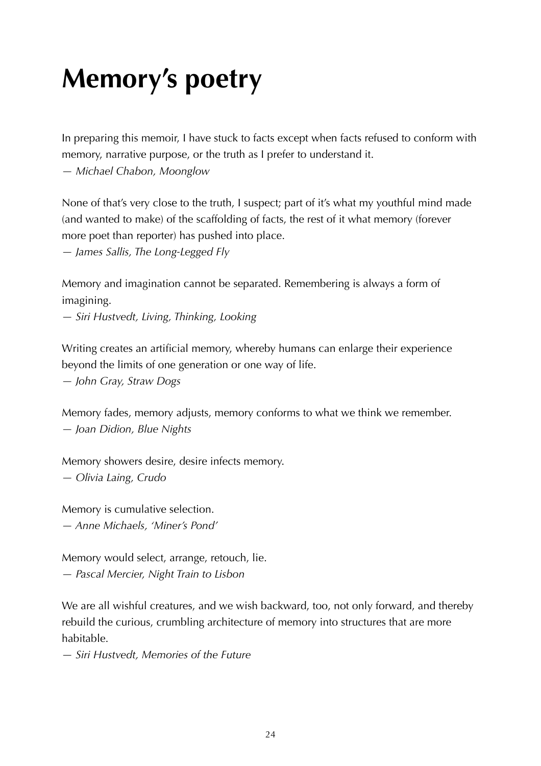# **Memory's poetry**

In preparing this memoir, I have stuck to facts except when facts refused to conform with memory, narrative purpose, or the truth as I prefer to understand it. *— Michael Chabon, Moonglow*

None of that's very close to the truth, I suspect; part of it's what my youthful mind made (and wanted to make) of the scaffolding of facts, the rest of it what memory (forever more poet than reporter) has pushed into place.

*— James Sallis, The Long-Legged Fly*

Memory and imagination cannot be separated. Remembering is always a form of imagining.

*— Siri Hustvedt, Living, Thinking, Looking*

Writing creates an artificial memory, whereby humans can enlarge their experience beyond the limits of one generation or one way of life.

*— John Gray, Straw Dogs*

Memory fades, memory adjusts, memory conforms to what we think we remember. *— Joan Didion, Blue Nights*

Memory showers desire, desire infects memory. *— Olivia Laing, Crudo*

Memory is cumulative selection. *— Anne Michaels, 'Miner's Pond'*

Memory would select, arrange, retouch, lie. *— Pascal Mercier, Night Train to Lisbon*

We are all wishful creatures, and we wish backward, too, not only forward, and thereby rebuild the curious, crumbling architecture of memory into structures that are more habitable.

*— Siri Hustvedt, Memories of the Future*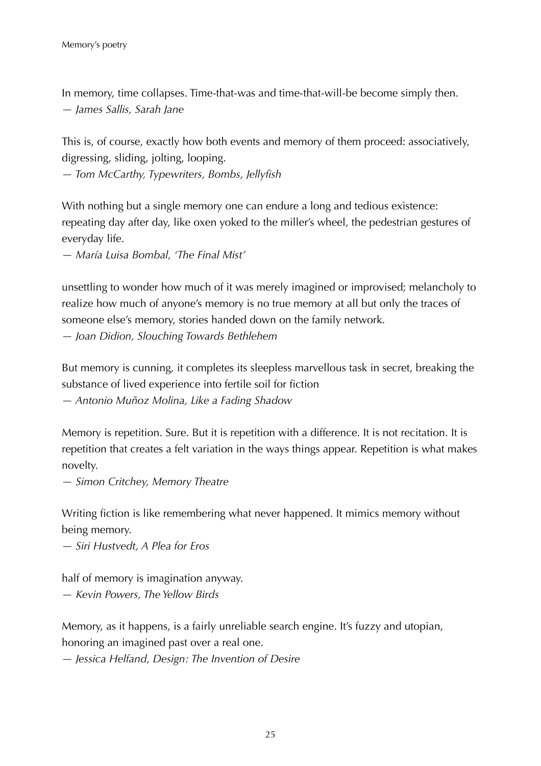In memory, time collapses. Time-that-was and time-that-will-be become simply then. *— James Sallis, Sarah Jane*

This is, of course, exactly how both events and memory of them proceed: associatively, digressing, sliding, jolting, looping.

*— Tom McCarthy, Typewriters, Bombs, Jellyfish*

With nothing but a single memory one can endure a long and tedious existence: repeating day after day, like oxen yoked to the miller's wheel, the pedestrian gestures of everyday life.

*— María Luisa Bombal, 'The Final Mist'*

unsettling to wonder how much of it was merely imagined or improvised; melancholy to realize how much of anyone's memory is no true memory at all but only the traces of someone else's memory, stories handed down on the family network. *— Joan Didion, Slouching Towards Bethlehem*

But memory is cunning, it completes its sleepless marvellous task in secret, breaking the substance of lived experience into fertile soil for fiction *— Antonio Muñoz Molina, Like a Fading Shadow*

Memory is repetition. Sure. But it is repetition with a difference. It is not recitation. It is repetition that creates a felt variation in the ways things appear. Repetition is what makes novelty.

*— Simon Critchey, Memory Theatre*

Writing fiction is like remembering what never happened. It mimics memory without being memory.

*— Siri Hustvedt, A Plea for Eros*

half of memory is imagination anyway. *— Kevin Powers, The Yellow Birds*

Memory, as it happens, is a fairly unreliable search engine. It's fuzzy and utopian, honoring an imagined past over a real one.

*— Jessica Helfand, Design: The Invention of Desire*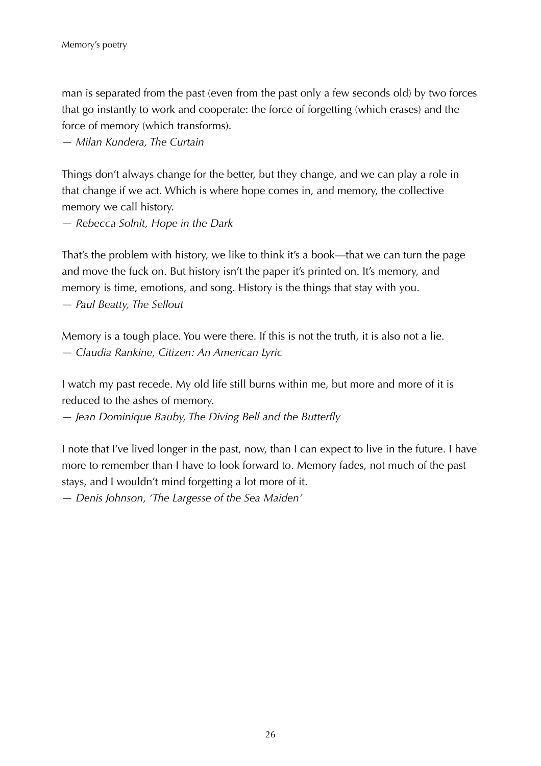man is separated from the past (even from the past only a few seconds old) by two forces that go instantly to work and cooperate: the force of forgetting (which erases) and the force of memory (which transforms).

*— Milan Kundera, The Curtain*

Things don't always change for the better, but they change, and we can play a role in that change if we act. Which is where hope comes in, and memory, the collective memory we call history.

*— Rebecca Solnit, Hope in the Dark*

That's the problem with history, we like to think it's a book—that we can turn the page and move the fuck on. But history isn't the paper it's printed on. It's memory, and memory is time, emotions, and song. History is the things that stay with you. *— Paul Beatty, The Sellout*

Memory is a tough place. You were there. If this is not the truth, it is also not a lie. *— Claudia Rankine, Citizen: An American Lyric*

I watch my past recede. My old life still burns within me, but more and more of it is reduced to the ashes of memory.

*— Jean Dominique Bauby, The Diving Bell and the Butterfly*

I note that I've lived longer in the past, now, than I can expect to live in the future. I have more to remember than I have to look forward to. Memory fades, not much of the past stays, and I wouldn't mind forgetting a lot more of it.

*— Denis Johnson, 'The Largesse of the Sea Maiden'*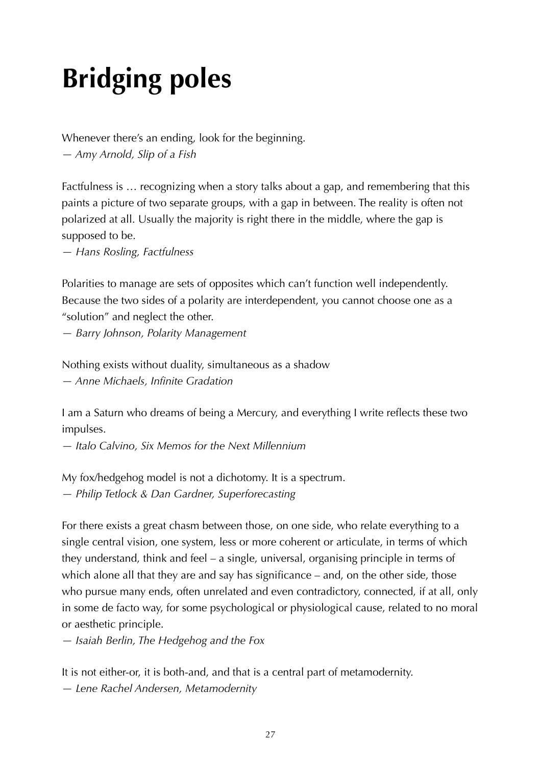# **Bridging poles**

Whenever there's an ending, look for the beginning. *— Amy Arnold, Slip of a Fish*

Factfulness is … recognizing when a story talks about a gap, and remembering that this paints a picture of two separate groups, with a gap in between. The reality is often not polarized at all. Usually the majority is right there in the middle, where the gap is supposed to be.

*— Hans Rosling, Factfulness*

Polarities to manage are sets of opposites which can't function well independently. Because the two sides of a polarity are interdependent, you cannot choose one as a "solution" and neglect the other.

*— Barry Johnson, Polarity Management*

Nothing exists without duality, simultaneous as a shadow *— Anne Michaels, Infinite Gradation*

I am a Saturn who dreams of being a Mercury, and everything I write reflects these two impulses.

*— Italo Calvino, Six Memos for the Next Millennium*

My fox/hedgehog model is not a dichotomy. It is a spectrum. *— Philip Tetlock & Dan Gardner, Superforecasting*

For there exists a great chasm between those, on one side, who relate everything to a single central vision, one system, less or more coherent or articulate, in terms of which they understand, think and feel – a single, universal, organising principle in terms of which alone all that they are and say has significance – and, on the other side, those who pursue many ends, often unrelated and even contradictory, connected, if at all, only in some de facto way, for some psychological or physiological cause, related to no moral or aesthetic principle.

*— Isaiah Berlin, The Hedgehog and the Fox*

It is not either-or, it is both-and, and that is a central part of metamodernity. *— Lene Rachel Andersen, Metamodernity*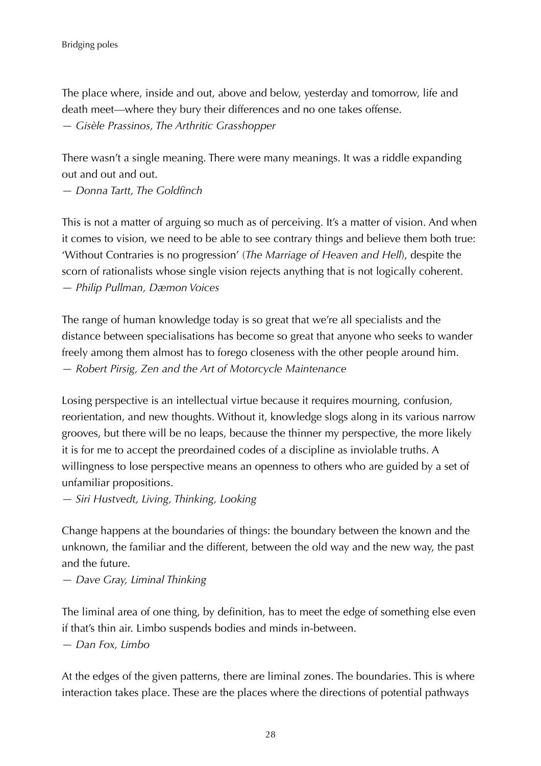The place where, inside and out, above and below, yesterday and tomorrow, life and death meet—where they bury their differences and no one takes offense. *— Gisèle Prassinos, The Arthritic Grasshopper*

There wasn't a single meaning. There were many meanings. It was a riddle expanding out and out and out.

*— Donna Tartt, The Goldfinch*

This is not a matter of arguing so much as of perceiving. It's a matter of vision. And when it comes to vision, we need to be able to see contrary things and believe them both true: 'Without Contraries is no progression' (*The Marriage of Heaven and Hell*), despite the scorn of rationalists whose single vision rejects anything that is not logically coherent. *— Philip Pullman, Dæmon Voices*

The range of human knowledge today is so great that we're all specialists and the distance between specialisations has become so great that anyone who seeks to wander freely among them almost has to forego closeness with the other people around him. *— Robert Pirsig, Zen and the Art of Motorcycle Maintenance*

Losing perspective is an intellectual virtue because it requires mourning, confusion, reorientation, and new thoughts. Without it, knowledge slogs along in its various narrow grooves, but there will be no leaps, because the thinner my perspective, the more likely it is for me to accept the preordained codes of a discipline as inviolable truths. A willingness to lose perspective means an openness to others who are guided by a set of unfamiliar propositions.

*— Siri Hustvedt, Living, Thinking, Looking*

Change happens at the boundaries of things: the boundary between the known and the unknown, the familiar and the different, between the old way and the new way, the past and the future.

*— Dave Gray, Liminal Thinking*

The liminal area of one thing, by definition, has to meet the edge of something else even if that's thin air. Limbo suspends bodies and minds in-between.

*— Dan Fox, Limbo*

At the edges of the given patterns, there are liminal zones. The boundaries. This is where interaction takes place. These are the places where the directions of potential pathways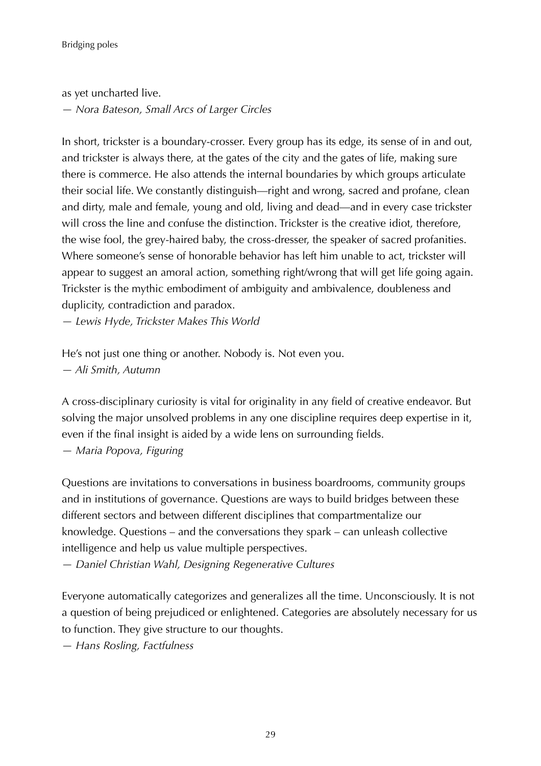as yet uncharted live.

*— Nora Bateson, Small Arcs of Larger Circles*

In short, trickster is a boundary-crosser. Every group has its edge, its sense of in and out, and trickster is always there, at the gates of the city and the gates of life, making sure there is commerce. He also attends the internal boundaries by which groups articulate their social life. We constantly distinguish—right and wrong, sacred and profane, clean and dirty, male and female, young and old, living and dead—and in every case trickster will cross the line and confuse the distinction. Trickster is the creative idiot, therefore, the wise fool, the grey-haired baby, the cross-dresser, the speaker of sacred profanities. Where someone's sense of honorable behavior has left him unable to act, trickster will appear to suggest an amoral action, something right/wrong that will get life going again. Trickster is the mythic embodiment of ambiguity and ambivalence, doubleness and duplicity, contradiction and paradox.

*— Lewis Hyde, Trickster Makes This World*

He's not just one thing or another. Nobody is. Not even you. *— Ali Smith, Autumn*

A cross-disciplinary curiosity is vital for originality in any field of creative endeavor. But solving the major unsolved problems in any one discipline requires deep expertise in it, even if the final insight is aided by a wide lens on surrounding fields. *— Maria Popova, Figuring*

Questions are invitations to conversations in business boardrooms, community groups and in institutions of governance. Questions are ways to build bridges between these different sectors and between different disciplines that compartmentalize our knowledge. Questions – and the conversations they spark – can unleash collective intelligence and help us value multiple perspectives.

*— Daniel Christian Wahl, Designing Regenerative Cultures*

Everyone automatically categorizes and generalizes all the time. Unconsciously. It is not a question of being prejudiced or enlightened. Categories are absolutely necessary for us to function. They give structure to our thoughts.

*— Hans Rosling, Factfulness*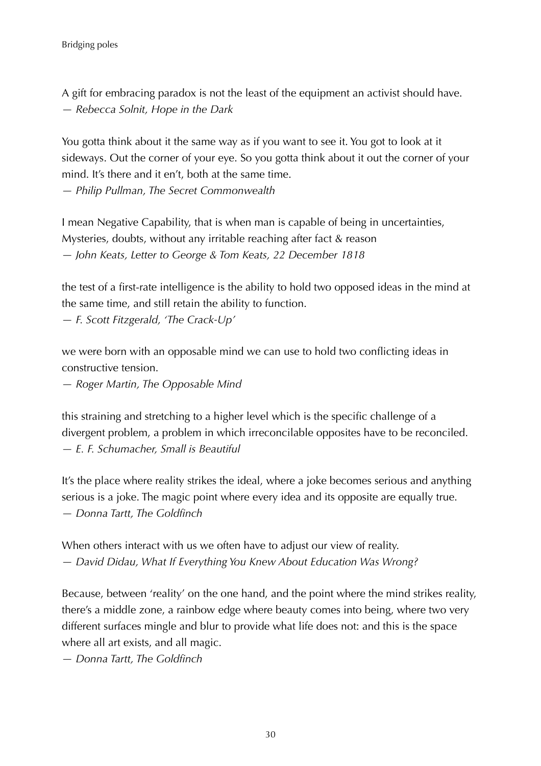A gift for embracing paradox is not the least of the equipment an activist should have. *— Rebecca Solnit, Hope in the Dark*

You gotta think about it the same way as if you want to see it. You got to look at it sideways. Out the corner of your eye. So you gotta think about it out the corner of your mind. It's there and it en't, both at the same time. *— Philip Pullman, The Secret Commonwealth*

I mean Negative Capability, that is when man is capable of being in uncertainties, Mysteries, doubts, without any irritable reaching after fact & reason *— John Keats, Letter to George & Tom Keats, 22 December 1818*

the test of a first-rate intelligence is the ability to hold two opposed ideas in the mind at the same time, and still retain the ability to function.

*— F. Scott Fitzgerald, 'The Crack-Up'*

we were born with an opposable mind we can use to hold two conflicting ideas in constructive tension.

*— Roger Martin, The Opposable Mind*

this straining and stretching to a higher level which is the specific challenge of a divergent problem, a problem in which irreconcilable opposites have to be reconciled. *— E. F. Schumacher, Small is Beautiful*

It's the place where reality strikes the ideal, where a joke becomes serious and anything serious is a joke. The magic point where every idea and its opposite are equally true. *— Donna Tartt, The Goldfinch*

When others interact with us we often have to adjust our view of reality. *— David Didau, What If Everything You Knew About Education Was Wrong?*

Because, between 'reality' on the one hand, and the point where the mind strikes reality, there's a middle zone, a rainbow edge where beauty comes into being, where two very different surfaces mingle and blur to provide what life does not: and this is the space where all art exists, and all magic.

*— Donna Tartt, The Goldfinch*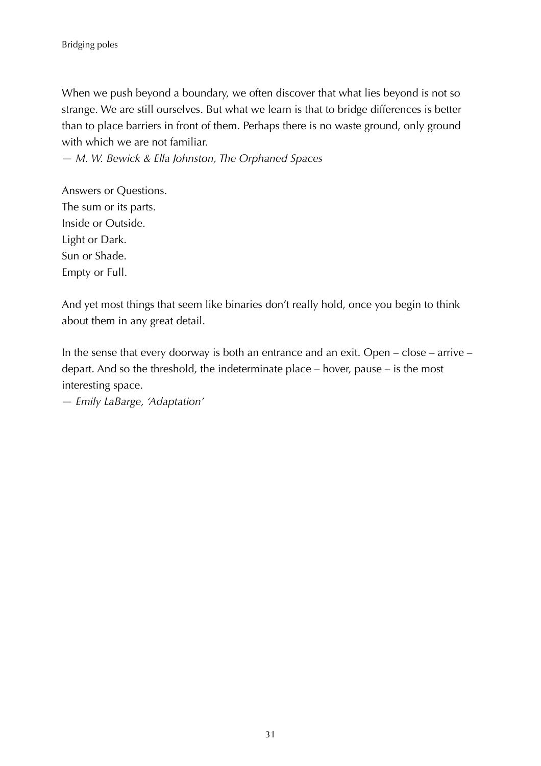When we push beyond a boundary, we often discover that what lies beyond is not so strange. We are still ourselves. But what we learn is that to bridge differences is better than to place barriers in front of them. Perhaps there is no waste ground, only ground with which we are not familiar.

*— M. W. Bewick & Ella Johnston, The Orphaned Spaces*

Answers or Questions. The sum or its parts. Inside or Outside. Light or Dark. Sun or Shade. Empty or Full.

And yet most things that seem like binaries don't really hold, once you begin to think about them in any great detail.

In the sense that every doorway is both an entrance and an exit. Open – close – arrive – depart. And so the threshold, the indeterminate place – hover, pause – is the most interesting space.

*— Emily LaBarge, 'Adaptation'*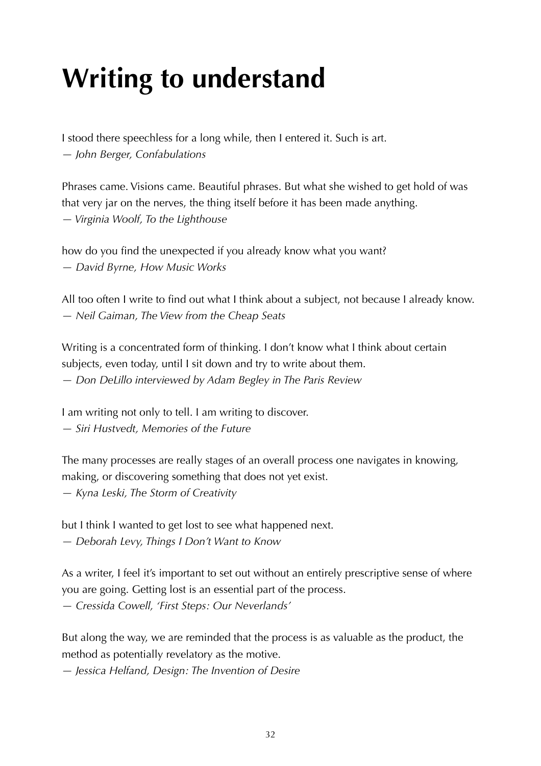## **Writing to understand**

I stood there speechless for a long while, then I entered it. Such is art. *— John Berger, Confabulations*

Phrases came. Visions came. Beautiful phrases. But what she wished to get hold of was that very jar on the nerves, the thing itself before it has been made anything. *— Virginia Woolf, To the Lighthouse*

how do you find the unexpected if you already know what you want? *— David Byrne, How Music Works*

All too often I write to find out what I think about a subject, not because I already know. *— Neil Gaiman, The View from the Cheap Seats*

Writing is a concentrated form of thinking. I don't know what I think about certain subjects, even today, until I sit down and try to write about them. *— Don DeLillo interviewed by Adam Begley in The Paris Review*

I am writing not only to tell. I am writing to discover. *— Siri Hustvedt, Memories of the Future*

The many processes are really stages of an overall process one navigates in knowing, making, or discovering something that does not yet exist. *— Kyna Leski, The Storm of Creativity*

but I think I wanted to get lost to see what happened next. *— Deborah Levy, Things I Don't Want to Know*

As a writer, I feel it's important to set out without an entirely prescriptive sense of where you are going. Getting lost is an essential part of the process. *— Cressida Cowell, 'First Steps: Our Neverlands'*

But along the way, we are reminded that the process is as valuable as the product, the method as potentially revelatory as the motive.

*— Jessica Helfand, Design: The Invention of Desire*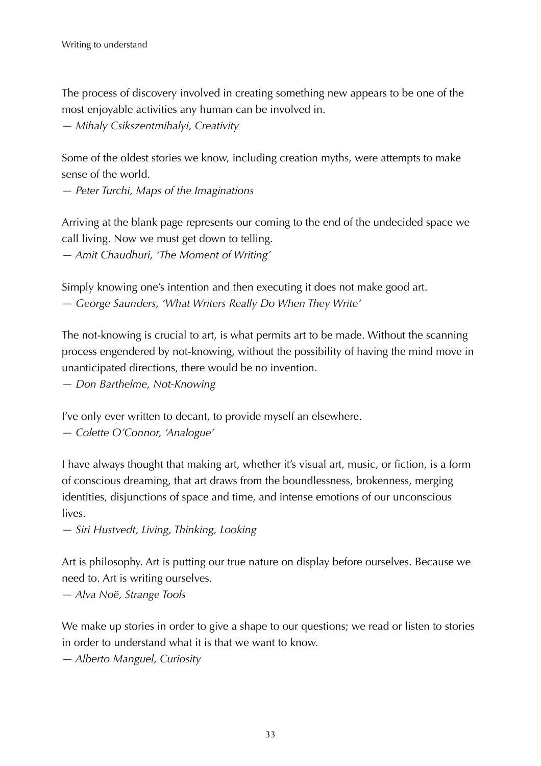The process of discovery involved in creating something new appears to be one of the most enjoyable activities any human can be involved in. *— Mihaly Csikszentmihalyi, Creativity*

Some of the oldest stories we know, including creation myths, were attempts to make sense of the world.

*— Peter Turchi, Maps of the Imaginations*

Arriving at the blank page represents our coming to the end of the undecided space we call living. Now we must get down to telling. *— Amit Chaudhuri, 'The Moment of Writing'*

Simply knowing one's intention and then executing it does not make good art. *— George Saunders, 'What Writers Really Do When They Write'*

The not-knowing is crucial to art, is what permits art to be made. Without the scanning process engendered by not-knowing, without the possibility of having the mind move in unanticipated directions, there would be no invention.

*— Don Barthelme, Not-Knowing*

I've only ever written to decant, to provide myself an elsewhere. *— Colette O'Connor, 'Analogue'*

I have always thought that making art, whether it's visual art, music, or fiction, is a form of conscious dreaming, that art draws from the boundlessness, brokenness, merging identities, disjunctions of space and time, and intense emotions of our unconscious lives.

*— Siri Hustvedt, Living, Thinking, Looking*

Art is philosophy. Art is putting our true nature on display before ourselves. Because we need to. Art is writing ourselves.

*— Alva Noë, Strange Tools*

We make up stories in order to give a shape to our questions; we read or listen to stories in order to understand what it is that we want to know.

*— Alberto Manguel, Curiosity*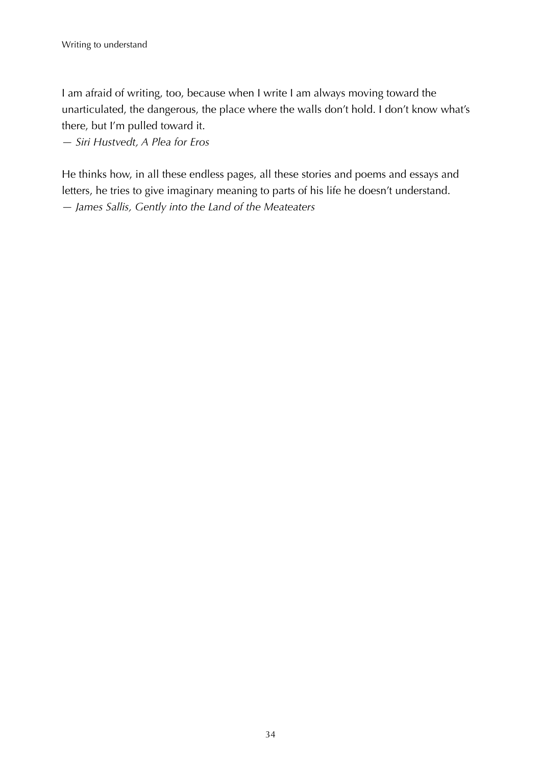I am afraid of writing, too, because when I write I am always moving toward the unarticulated, the dangerous, the place where the walls don't hold. I don't know what's there, but I'm pulled toward it.

*— Siri Hustvedt, A Plea for Eros*

He thinks how, in all these endless pages, all these stories and poems and essays and letters, he tries to give imaginary meaning to parts of his life he doesn't understand. *— James Sallis, Gently into the Land of the Meateaters*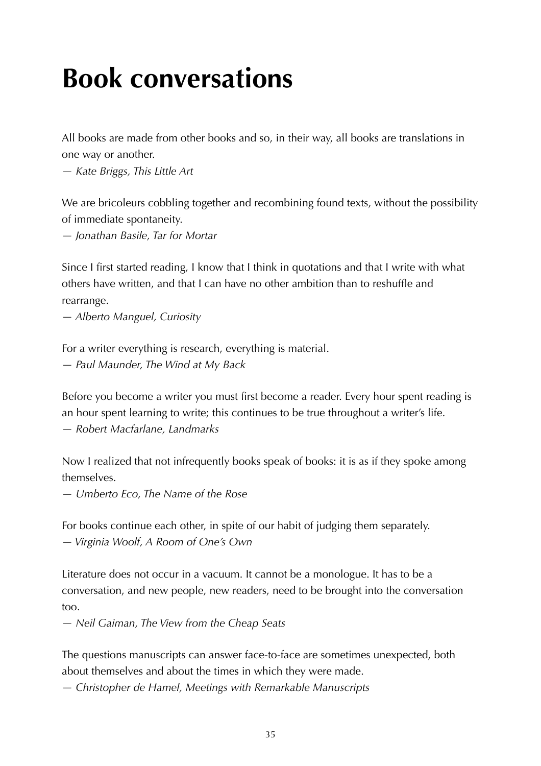#### **Book conversations**

All books are made from other books and so, in their way, all books are translations in one way or another.

*— Kate Briggs, This Little Art*

We are bricoleurs cobbling together and recombining found texts, without the possibility of immediate spontaneity.

*— Jonathan Basile, Tar for Mortar*

Since I first started reading, I know that I think in quotations and that I write with what others have written, and that I can have no other ambition than to reshuffle and rearrange.

*— Alberto Manguel, Curiosity*

For a writer everything is research, everything is material. *— Paul Maunder, The Wind at My Back*

Before you become a writer you must first become a reader. Every hour spent reading is an hour spent learning to write; this continues to be true throughout a writer's life. *— Robert Macfarlane, Landmarks*

Now I realized that not infrequently books speak of books: it is as if they spoke among themselves.

*— Umberto Eco, The Name of the Rose*

For books continue each other, in spite of our habit of judging them separately. *— Virginia Woolf, A Room of One's Own*

Literature does not occur in a vacuum. It cannot be a monologue. It has to be a conversation, and new people, new readers, need to be brought into the conversation too.

*— Neil Gaiman, The View from the Cheap Seats*

The questions manuscripts can answer face-to-face are sometimes unexpected, both about themselves and about the times in which they were made.

*— Christopher de Hamel, Meetings with Remarkable Manuscripts*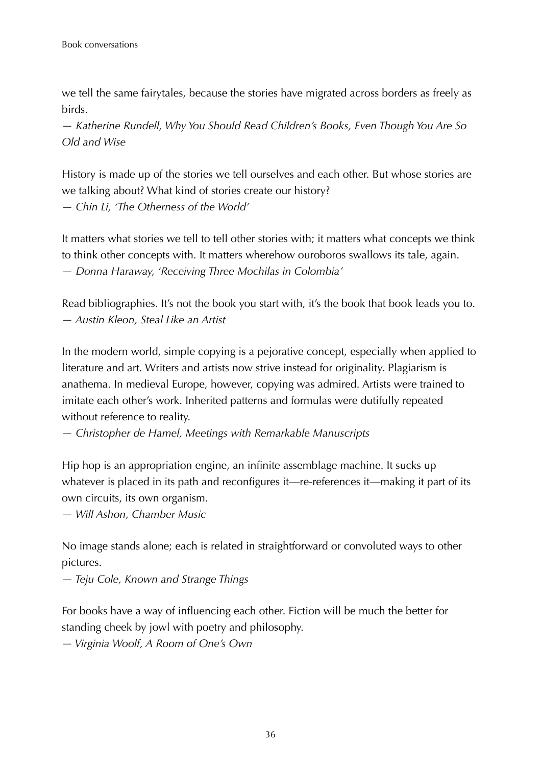we tell the same fairytales, because the stories have migrated across borders as freely as birds.

*— Katherine Rundell, Why You Should Read Children's Books, Even Though You Are So Old and Wise*

History is made up of the stories we tell ourselves and each other. But whose stories are we talking about? What kind of stories create our history? *— Chin Li, 'The Otherness of the World'*

It matters what stories we tell to tell other stories with; it matters what concepts we think to think other concepts with. It matters wherehow ouroboros swallows its tale, again. *— Donna Haraway, 'Receiving Three Mochilas in Colombia'*

Read bibliographies. It's not the book you start with, it's the book that book leads you to. *— Austin Kleon, Steal Like an Artist*

In the modern world, simple copying is a pejorative concept, especially when applied to literature and art. Writers and artists now strive instead for originality. Plagiarism is anathema. In medieval Europe, however, copying was admired. Artists were trained to imitate each other's work. Inherited patterns and formulas were dutifully repeated without reference to reality.

*— Christopher de Hamel, Meetings with Remarkable Manuscripts*

Hip hop is an appropriation engine, an infinite assemblage machine. It sucks up whatever is placed in its path and reconfigures it—re-references it—making it part of its own circuits, its own organism.

*— Will Ashon, Chamber Music*

No image stands alone; each is related in straightforward or convoluted ways to other pictures.

*— Teju Cole, Known and Strange Things*

For books have a way of influencing each other. Fiction will be much the better for standing cheek by jowl with poetry and philosophy.

*— Virginia Woolf, A Room of One's Own*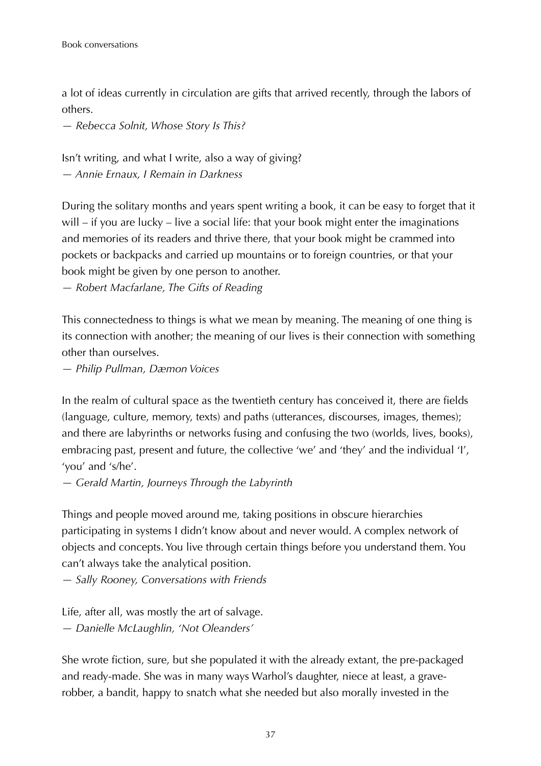a lot of ideas currently in circulation are gifts that arrived recently, through the labors of others.

*— Rebecca Solnit, Whose Story Is This?*

Isn't writing, and what I write, also a way of giving? *— Annie Ernaux, I Remain in Darkness*

During the solitary months and years spent writing a book, it can be easy to forget that it will – if you are lucky – live a social life: that your book might enter the imaginations and memories of its readers and thrive there, that your book might be crammed into pockets or backpacks and carried up mountains or to foreign countries, or that your book might be given by one person to another.

*— Robert Macfarlane, The Gifts of Reading*

This connectedness to things is what we mean by meaning. The meaning of one thing is its connection with another; the meaning of our lives is their connection with something other than ourselves.

*— Philip Pullman, Dæmon Voices*

In the realm of cultural space as the twentieth century has conceived it, there are fields (language, culture, memory, texts) and paths (utterances, discourses, images, themes); and there are labyrinths or networks fusing and confusing the two (worlds, lives, books), embracing past, present and future, the collective 'we' and 'they' and the individual 'I', 'you' and 's/he'.

*— Gerald Martin, Journeys Through the Labyrinth*

Things and people moved around me, taking positions in obscure hierarchies participating in systems I didn't know about and never would. A complex network of objects and concepts. You live through certain things before you understand them. You can't always take the analytical position.

*— Sally Rooney, Conversations with Friends*

Life, after all, was mostly the art of salvage. *— Danielle McLaughlin, 'Not Oleanders'*

She wrote fiction, sure, but she populated it with the already extant, the pre-packaged and ready-made. She was in many ways Warhol's daughter, niece at least, a graverobber, a bandit, happy to snatch what she needed but also morally invested in the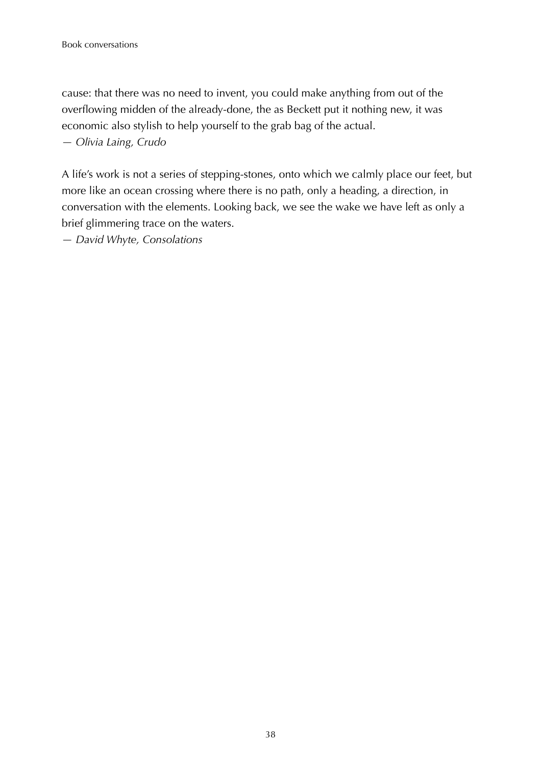cause: that there was no need to invent, you could make anything from out of the overflowing midden of the already-done, the as Beckett put it nothing new, it was economic also stylish to help yourself to the grab bag of the actual. *— Olivia Laing, Crudo*

A life's work is not a series of stepping-stones, onto which we calmly place our feet, but more like an ocean crossing where there is no path, only a heading, a direction, in conversation with the elements. Looking back, we see the wake we have left as only a brief glimmering trace on the waters.

*— David Whyte, Consolations*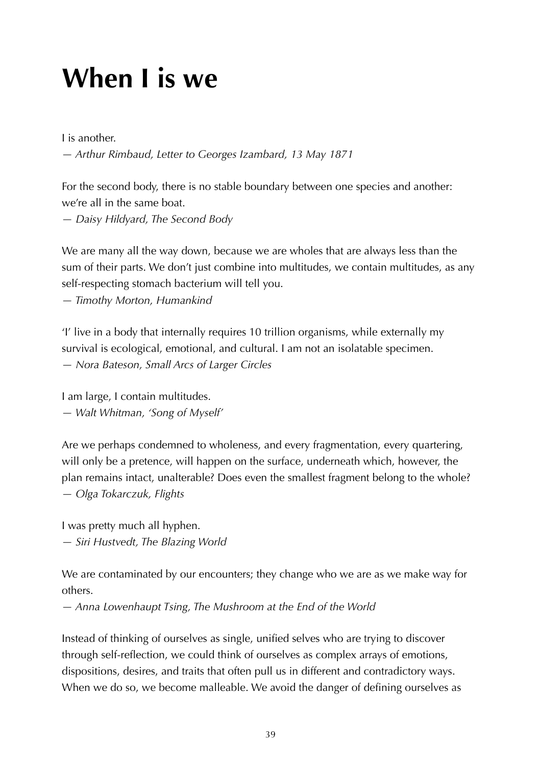### **When I is we**

I is another. *— Arthur Rimbaud, Letter to Georges Izambard, 13 May 1871*

For the second body, there is no stable boundary between one species and another: we're all in the same boat.

*— Daisy Hildyard, The Second Body*

We are many all the way down, because we are wholes that are always less than the sum of their parts. We don't just combine into multitudes, we contain multitudes, as any self-respecting stomach bacterium will tell you.

*— Timothy Morton, Humankind*

'I' live in a body that internally requires 10 trillion organisms, while externally my survival is ecological, emotional, and cultural. I am not an isolatable specimen. *— Nora Bateson, Small Arcs of Larger Circles*

I am large, I contain multitudes. *— Walt Whitman, 'Song of Myself'*

Are we perhaps condemned to wholeness, and every fragmentation, every quartering, will only be a pretence, will happen on the surface, underneath which, however, the plan remains intact, unalterable? Does even the smallest fragment belong to the whole? *— Olga Tokarczuk, Flights*

I was pretty much all hyphen. *— Siri Hustvedt, The Blazing World*

We are contaminated by our encounters; they change who we are as we make way for others.

*— Anna Lowenhaupt Tsing, The Mushroom at the End of the World*

Instead of thinking of ourselves as single, unified selves who are trying to discover through self-reflection, we could think of ourselves as complex arrays of emotions, dispositions, desires, and traits that often pull us in different and contradictory ways. When we do so, we become malleable. We avoid the danger of defining ourselves as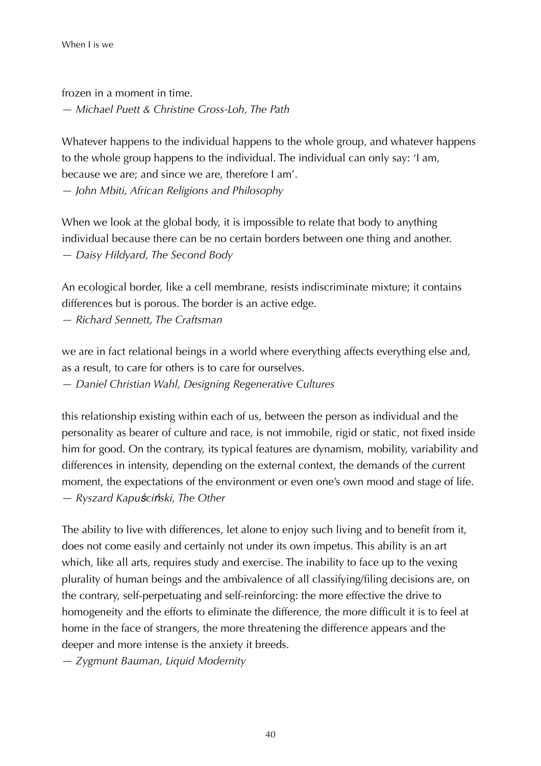frozen in a moment in time. *— Michael Puett & Christine Gross-Loh, The Path*

Whatever happens to the individual happens to the whole group, and whatever happens to the whole group happens to the individual. The individual can only say: 'I am, because we are; and since we are, therefore I am'. *— John Mbiti, African Religions and Philosophy*

When we look at the global body, it is impossible to relate that body to anything individual because there can be no certain borders between one thing and another. *— Daisy Hildyard, The Second Body*

An ecological border, like a cell membrane, resists indiscriminate mixture; it contains differences but is porous. The border is an active edge. *— Richard Sennett, The Craftsman*

we are in fact relational beings in a world where everything affects everything else and, as a result, to care for others is to care for ourselves. *— Daniel Christian Wahl, Designing Regenerative Cultures*

this relationship existing within each of us, between the person as individual and the personality as bearer of culture and race, is not immobile, rigid or static, not fixed inside him for good. On the contrary, its typical features are dynamism, mobility, variability and differences in intensity, depending on the external context, the demands of the current moment, the expectations of the environment or even one's own mood and stage of life. *— Ryszard Kapu*ś*ci*ń*ski, The Other*

The ability to live with differences, let alone to enjoy such living and to benefit from it, does not come easily and certainly not under its own impetus. This ability is an art which, like all arts, requires study and exercise. The inability to face up to the vexing plurality of human beings and the ambivalence of all classifying/filing decisions are, on the contrary, self-perpetuating and self-reinforcing: the more effective the drive to homogeneity and the efforts to eliminate the difference, the more difficult it is to feel at home in the face of strangers, the more threatening the difference appears and the deeper and more intense is the anxiety it breeds.

*— Zygmunt Bauman, Liquid Modernity*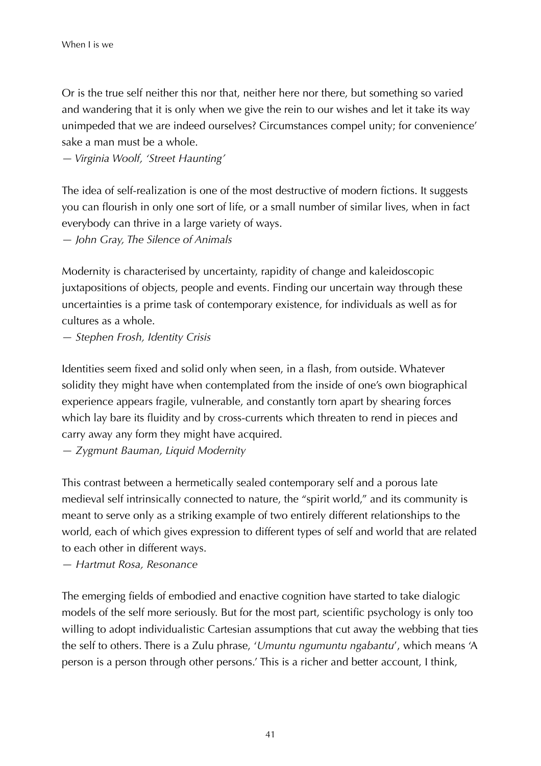Or is the true self neither this nor that, neither here nor there, but something so varied and wandering that it is only when we give the rein to our wishes and let it take its way unimpeded that we are indeed ourselves? Circumstances compel unity; for convenience' sake a man must be a whole.

*— Virginia Woolf, 'Street Haunting'*

The idea of self-realization is one of the most destructive of modern fictions. It suggests you can flourish in only one sort of life, or a small number of similar lives, when in fact everybody can thrive in a large variety of ways.

*— John Gray, The Silence of Animals*

Modernity is characterised by uncertainty, rapidity of change and kaleidoscopic juxtapositions of objects, people and events. Finding our uncertain way through these uncertainties is a prime task of contemporary existence, for individuals as well as for cultures as a whole.

*— Stephen Frosh, Identity Crisis*

Identities seem fixed and solid only when seen, in a flash, from outside. Whatever solidity they might have when contemplated from the inside of one's own biographical experience appears fragile, vulnerable, and constantly torn apart by shearing forces which lay bare its fluidity and by cross-currents which threaten to rend in pieces and carry away any form they might have acquired.

*— Zygmunt Bauman, Liquid Modernity*

This contrast between a hermetically sealed contemporary self and a porous late medieval self intrinsically connected to nature, the "spirit world," and its community is meant to serve only as a striking example of two entirely different relationships to the world, each of which gives expression to different types of self and world that are related to each other in different ways.

*— Hartmut Rosa, Resonance*

The emerging fields of embodied and enactive cognition have started to take dialogic models of the self more seriously. But for the most part, scientific psychology is only too willing to adopt individualistic Cartesian assumptions that cut away the webbing that ties the self to others. There is a Zulu phrase, '*Umuntu ngumuntu ngabantu*', which means 'A person is a person through other persons.' This is a richer and better account, I think,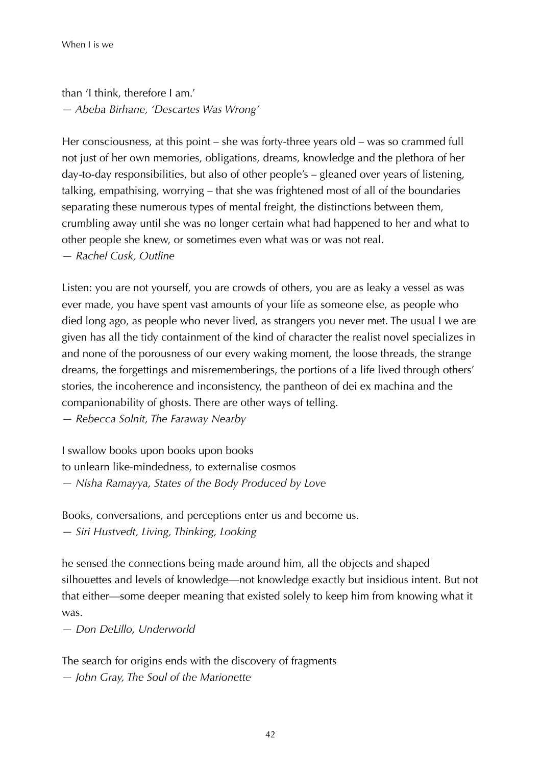```
than 'I think, therefore I am.'
— Abeba Birhane, 'Descartes Was Wrong'
```
Her consciousness, at this point – she was forty-three years old – was so crammed full not just of her own memories, obligations, dreams, knowledge and the plethora of her day-to-day responsibilities, but also of other people's – gleaned over years of listening, talking, empathising, worrying – that she was frightened most of all of the boundaries separating these numerous types of mental freight, the distinctions between them, crumbling away until she was no longer certain what had happened to her and what to other people she knew, or sometimes even what was or was not real. *— Rachel Cusk, Outline*

Listen: you are not yourself, you are crowds of others, you are as leaky a vessel as was ever made, you have spent vast amounts of your life as someone else, as people who died long ago, as people who never lived, as strangers you never met. The usual I we are given has all the tidy containment of the kind of character the realist novel specializes in and none of the porousness of our every waking moment, the loose threads, the strange dreams, the forgettings and misrememberings, the portions of a life lived through others' stories, the incoherence and inconsistency, the pantheon of dei ex machina and the companionability of ghosts. There are other ways of telling. *— Rebecca Solnit, The Faraway Nearby*

I swallow books upon books upon books to unlearn like-mindedness, to externalise cosmos *— Nisha Ramayya, States of the Body Produced by Love*

Books, conversations, and perceptions enter us and become us. *— Siri Hustvedt, Living, Thinking, Looking*

he sensed the connections being made around him, all the objects and shaped silhouettes and levels of knowledge—not knowledge exactly but insidious intent. But not that either—some deeper meaning that existed solely to keep him from knowing what it was.

*— Don DeLillo, Underworld*

The search for origins ends with the discovery of fragments *— John Gray, The Soul of the Marionette*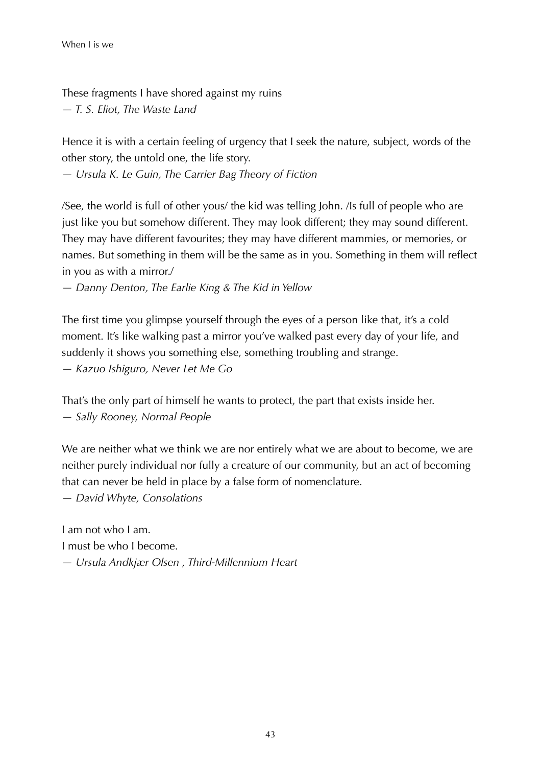These fragments I have shored against my ruins *— T. S. Eliot, The Waste Land*

Hence it is with a certain feeling of urgency that I seek the nature, subject, words of the other story, the untold one, the life story.

*— Ursula K. Le Guin, The Carrier Bag Theory of Fiction*

/See, the world is full of other yous/ the kid was telling John. /Is full of people who are just like you but somehow different. They may look different; they may sound different. They may have different favourites; they may have different mammies, or memories, or names. But something in them will be the same as in you. Something in them will reflect in you as with a mirror./

*— Danny Denton, The Earlie King & The Kid in Yellow*

The first time you glimpse yourself through the eyes of a person like that, it's a cold moment. It's like walking past a mirror you've walked past every day of your life, and suddenly it shows you something else, something troubling and strange. *— Kazuo Ishiguro, Never Let Me Go*

That's the only part of himself he wants to protect, the part that exists inside her.

*— Sally Rooney, Normal People*

We are neither what we think we are nor entirely what we are about to become, we are neither purely individual nor fully a creature of our community, but an act of becoming that can never be held in place by a false form of nomenclature. *— David Whyte, Consolations*

I am not who I am. I must be who I become. *— Ursula Andkjær Olsen , Third-Millennium Heart*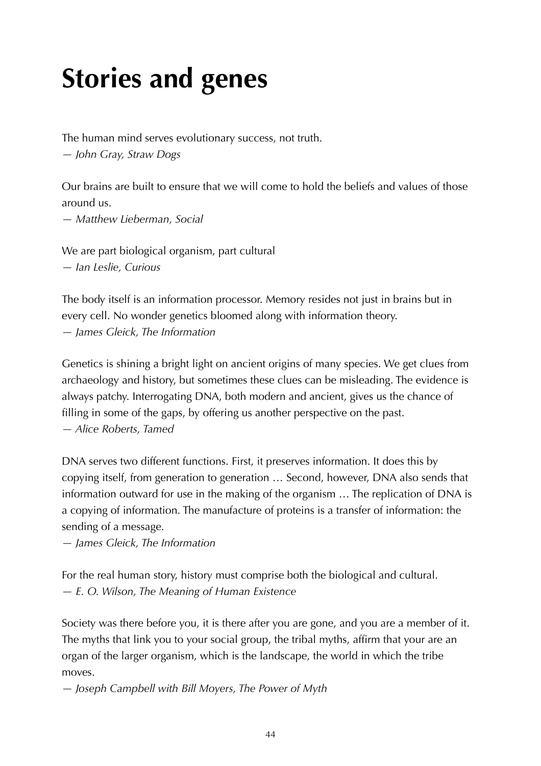# **Stories and genes**

The human mind serves evolutionary success, not truth. *— John Gray, Straw Dogs*

Our brains are built to ensure that we will come to hold the beliefs and values of those around us.

*— Matthew Lieberman, Social*

We are part biological organism, part cultural *— Ian Leslie, Curious*

The body itself is an information processor. Memory resides not just in brains but in every cell. No wonder genetics bloomed along with information theory. *— James Gleick, The Information*

Genetics is shining a bright light on ancient origins of many species. We get clues from archaeology and history, but sometimes these clues can be misleading. The evidence is always patchy. Interrogating DNA, both modern and ancient, gives us the chance of filling in some of the gaps, by offering us another perspective on the past. *— Alice Roberts, Tamed*

DNA serves two different functions. First, it preserves information. It does this by copying itself, from generation to generation … Second, however, DNA also sends that information outward for use in the making of the organism … The replication of DNA is a copying of information. The manufacture of proteins is a transfer of information: the sending of a message.

*— James Gleick, The Information*

For the real human story, history must comprise both the biological and cultural. *— E. O. Wilson, The Meaning of Human Existence*

Society was there before you, it is there after you are gone, and you are a member of it. The myths that link you to your social group, the tribal myths, affirm that your are an organ of the larger organism, which is the landscape, the world in which the tribe moves.

*— Joseph Campbell with Bill Moyers, The Power of Myth*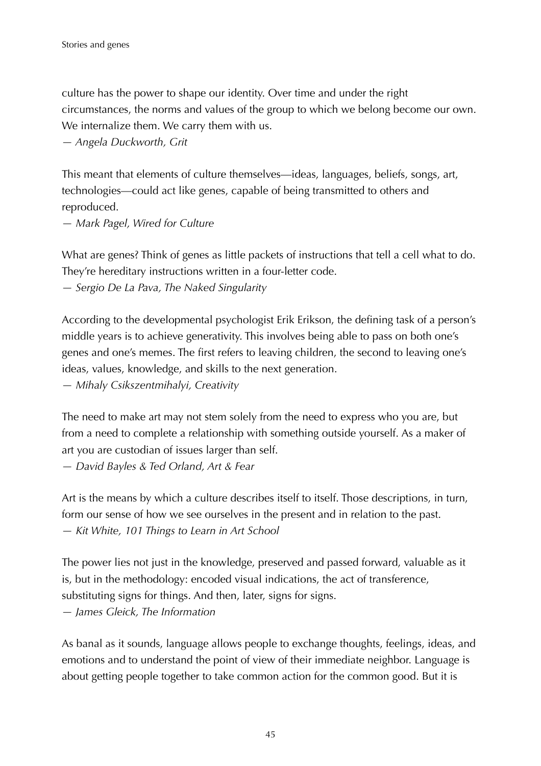culture has the power to shape our identity. Over time and under the right circumstances, the norms and values of the group to which we belong become our own. We internalize them. We carry them with us.

*— Angela Duckworth, Grit*

This meant that elements of culture themselves—ideas, languages, beliefs, songs, art, technologies—could act like genes, capable of being transmitted to others and reproduced.

*— Mark Pagel, Wired for Culture*

What are genes? Think of genes as little packets of instructions that tell a cell what to do. They're hereditary instructions written in a four-letter code.

*— Sergio De La Pava, The Naked Singularity*

According to the developmental psychologist Erik Erikson, the defining task of a person's middle years is to achieve generativity. This involves being able to pass on both one's genes and one's memes. The first refers to leaving children, the second to leaving one's ideas, values, knowledge, and skills to the next generation. *— Mihaly Csikszentmihalyi, Creativity*

The need to make art may not stem solely from the need to express who you are, but from a need to complete a relationship with something outside yourself. As a maker of art you are custodian of issues larger than self.

*— David Bayles & Ted Orland, Art & Fear*

Art is the means by which a culture describes itself to itself. Those descriptions, in turn, form our sense of how we see ourselves in the present and in relation to the past. *— Kit White, 101 Things to Learn in Art School*

The power lies not just in the knowledge, preserved and passed forward, valuable as it is, but in the methodology: encoded visual indications, the act of transference, substituting signs for things. And then, later, signs for signs. *— James Gleick, The Information*

As banal as it sounds, language allows people to exchange thoughts, feelings, ideas, and emotions and to understand the point of view of their immediate neighbor. Language is about getting people together to take common action for the common good. But it is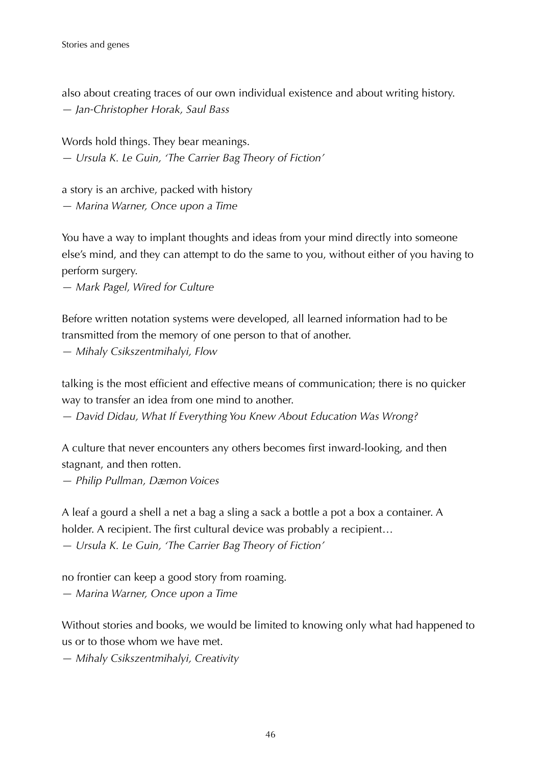also about creating traces of our own individual existence and about writing history. *— Jan-Christopher Horak, Saul Bass*

Words hold things. They bear meanings. *— Ursula K. Le Guin, 'The Carrier Bag Theory of Fiction'*

a story is an archive, packed with history *— Marina Warner, Once upon a Time*

You have a way to implant thoughts and ideas from your mind directly into someone else's mind, and they can attempt to do the same to you, without either of you having to perform surgery.

*— Mark Pagel, Wired for Culture*

Before written notation systems were developed, all learned information had to be transmitted from the memory of one person to that of another. *— Mihaly Csikszentmihalyi, Flow*

talking is the most efficient and effective means of communication; there is no quicker way to transfer an idea from one mind to another.

*— David Didau, What If Everything You Knew About Education Was Wrong?*

A culture that never encounters any others becomes first inward-looking, and then stagnant, and then rotten.

*— Philip Pullman, Dæmon Voices*

A leaf a gourd a shell a net a bag a sling a sack a bottle a pot a box a container. A holder. A recipient. The first cultural device was probably a recipient… *— Ursula K. Le Guin, 'The Carrier Bag Theory of Fiction'*

no frontier can keep a good story from roaming. *— Marina Warner, Once upon a Time*

Without stories and books, we would be limited to knowing only what had happened to us or to those whom we have met.

*— Mihaly Csikszentmihalyi, Creativity*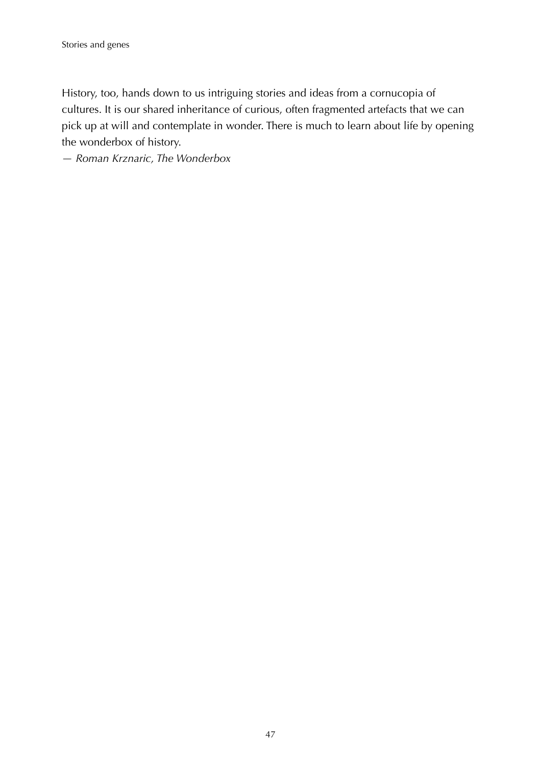History, too, hands down to us intriguing stories and ideas from a cornucopia of cultures. It is our shared inheritance of curious, often fragmented artefacts that we can pick up at will and contemplate in wonder. There is much to learn about life by opening the wonderbox of history.

*— Roman Krznaric, The Wonderbox*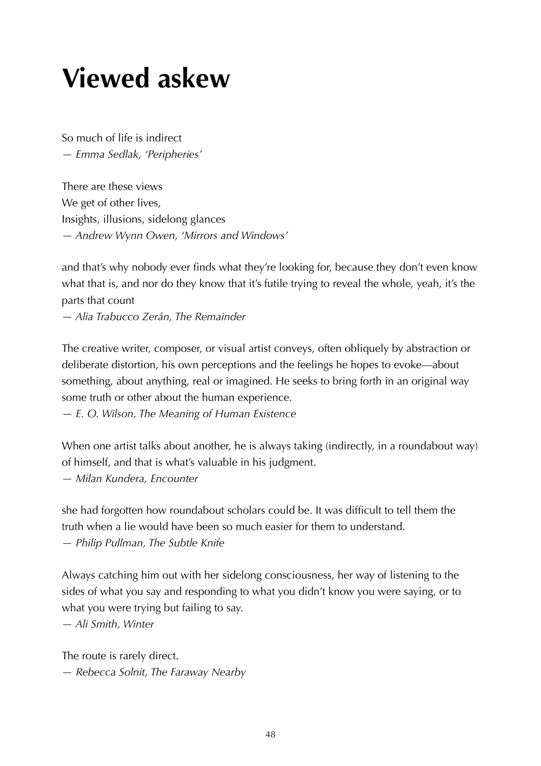### **Viewed askew**

So much of life is indirect *— Emma Sedlak, 'Peripheries'*

There are these views We get of other lives, Insights, illusions, sidelong glances *— Andrew Wynn Owen, 'Mirrors and Windows'*

and that's why nobody ever finds what they're looking for, because they don't even know what that is, and nor do they know that it's futile trying to reveal the whole, yeah, it's the parts that count

*— Alia Trabucco Zerán, The Remainder*

The creative writer, composer, or visual artist conveys, often obliquely by abstraction or deliberate distortion, his own perceptions and the feelings he hopes to evoke—about something, about anything, real or imagined. He seeks to bring forth in an original way some truth or other about the human experience.

*— E. O. Wilson, The Meaning of Human Existence*

When one artist talks about another, he is always taking (indirectly, in a roundabout way) of himself, and that is what's valuable in his judgment.

*— Milan Kundera, Encounter*

she had forgotten how roundabout scholars could be. It was difficult to tell them the truth when a lie would have been so much easier for them to understand. *— Philip Pullman, The Subtle Knife*

Always catching him out with her sidelong consciousness, her way of listening to the sides of what you say and responding to what you didn't know you were saying, or to what you were trying but failing to say.

*— Ali Smith, Winter*

The route is rarely direct. *— Rebecca Solnit, The Faraway Nearby*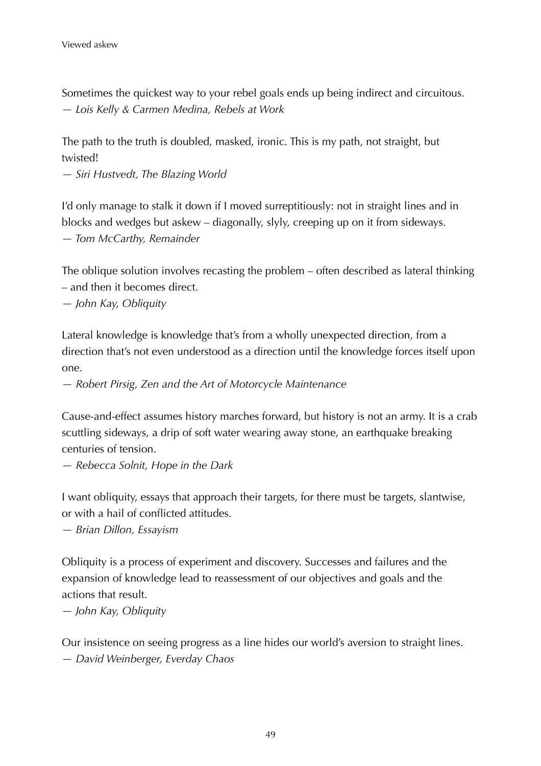Sometimes the quickest way to your rebel goals ends up being indirect and circuitous. *— Lois Kelly & Carmen Medina, Rebels at Work*

The path to the truth is doubled, masked, ironic. This is my path, not straight, but twisted!

*— Siri Hustvedt, The Blazing World*

I'd only manage to stalk it down if I moved surreptitiously: not in straight lines and in blocks and wedges but askew – diagonally, slyly, creeping up on it from sideways. *— Tom McCarthy, Remainder*

The oblique solution involves recasting the problem – often described as lateral thinking – and then it becomes direct.

*— John Kay, Obliquity*

Lateral knowledge is knowledge that's from a wholly unexpected direction, from a direction that's not even understood as a direction until the knowledge forces itself upon one.

*— Robert Pirsig, Zen and the Art of Motorcycle Maintenance*

Cause-and-effect assumes history marches forward, but history is not an army. It is a crab scuttling sideways, a drip of soft water wearing away stone, an earthquake breaking centuries of tension.

*— Rebecca Solnit, Hope in the Dark*

I want obliquity, essays that approach their targets, for there must be targets, slantwise, or with a hail of conflicted attitudes.

*— Brian Dillon, Essayism*

Obliquity is a process of experiment and discovery. Successes and failures and the expansion of knowledge lead to reassessment of our objectives and goals and the actions that result.

*— John Kay, Obliquity*

Our insistence on seeing progress as a line hides our world's aversion to straight lines. *— David Weinberger, Everday Chaos*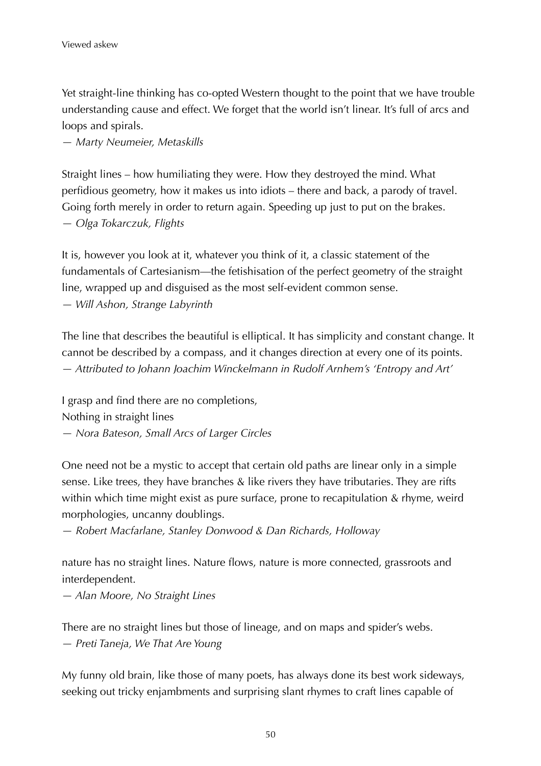Yet straight-line thinking has co-opted Western thought to the point that we have trouble understanding cause and effect. We forget that the world isn't linear. It's full of arcs and loops and spirals.

*— Marty Neumeier, Metaskills*

Straight lines – how humiliating they were. How they destroyed the mind. What perfidious geometry, how it makes us into idiots – there and back, a parody of travel. Going forth merely in order to return again. Speeding up just to put on the brakes. *— Olga Tokarczuk, Flights*

It is, however you look at it, whatever you think of it, a classic statement of the fundamentals of Cartesianism—the fetishisation of the perfect geometry of the straight line, wrapped up and disguised as the most self-evident common sense. *— Will Ashon, Strange Labyrinth*

The line that describes the beautiful is elliptical. It has simplicity and constant change. It cannot be described by a compass, and it changes direction at every one of its points. *— Attributed to Johann Joachim Winckelmann in Rudolf Arnhem's 'Entropy and Art'*

I grasp and find there are no completions, Nothing in straight lines *— Nora Bateson, Small Arcs of Larger Circles*

One need not be a mystic to accept that certain old paths are linear only in a simple sense. Like trees, they have branches & like rivers they have tributaries. They are rifts within which time might exist as pure surface, prone to recapitulation & rhyme, weird morphologies, uncanny doublings.

*— Robert Macfarlane, Stanley Donwood & Dan Richards, Holloway*

nature has no straight lines. Nature flows, nature is more connected, grassroots and interdependent.

*— Alan Moore, No Straight Lines*

There are no straight lines but those of lineage, and on maps and spider's webs. *— Preti Taneja, We That Are Young*

My funny old brain, like those of many poets, has always done its best work sideways, seeking out tricky enjambments and surprising slant rhymes to craft lines capable of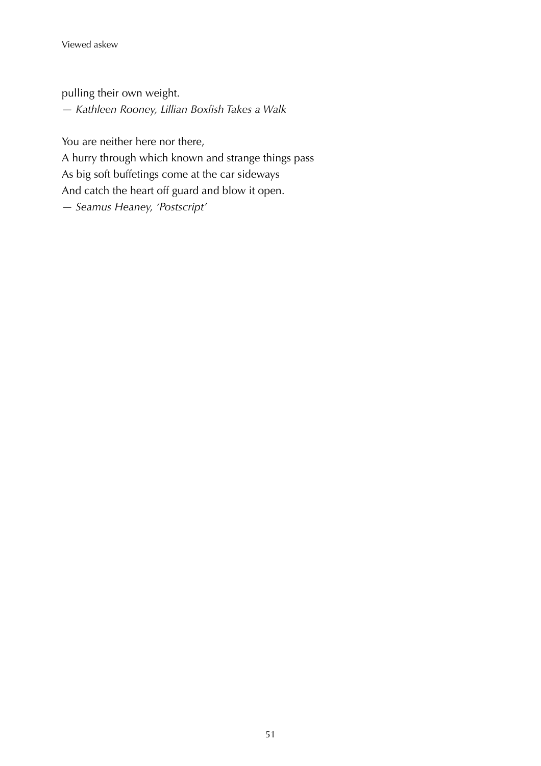pulling their own weight. *— Kathleen Rooney, Lillian Boxfish Takes a Walk*

You are neither here nor there,

A hurry through which known and strange things pass As big soft buffetings come at the car sideways And catch the heart off guard and blow it open. *— Seamus Heaney, 'Postscript'*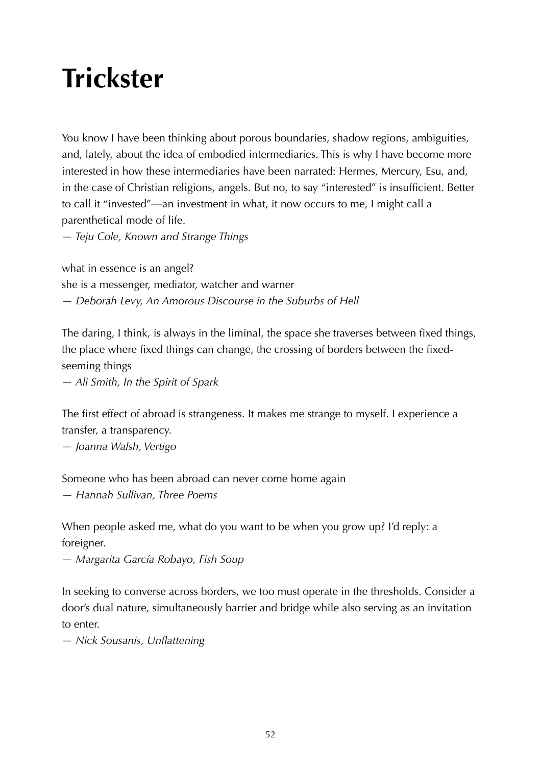## **Trickster**

You know I have been thinking about porous boundaries, shadow regions, ambiguities, and, lately, about the idea of embodied intermediaries. This is why I have become more interested in how these intermediaries have been narrated: Hermes, Mercury, Esu, and, in the case of Christian religions, angels. But no, to say "interested" is insufficient. Better to call it "invested"—an investment in what, it now occurs to me, I might call a parenthetical mode of life.

*— Teju Cole, Known and Strange Things*

what in essence is an angel? she is a messenger, mediator, watcher and warner *— Deborah Levy, An Amorous Discourse in the Suburbs of Hell*

The daring, I think, is always in the liminal, the space she traverses between fixed things, the place where fixed things can change, the crossing of borders between the fixedseeming things

*— Ali Smith, In the Spirit of Spark*

The first effect of abroad is strangeness. It makes me strange to myself. I experience a transfer, a transparency.

*— Joanna Walsh, Vertigo*

Someone who has been abroad can never come home again

*— Hannah Sullivan, Three Poems*

When people asked me, what do you want to be when you grow up? I'd reply: a foreigner.

*— Margarita García Robayo, Fish Soup*

In seeking to converse across borders, we too must operate in the thresholds. Consider a door's dual nature, simultaneously barrier and bridge while also serving as an invitation to enter.

*— Nick Sousanis, Unflattening*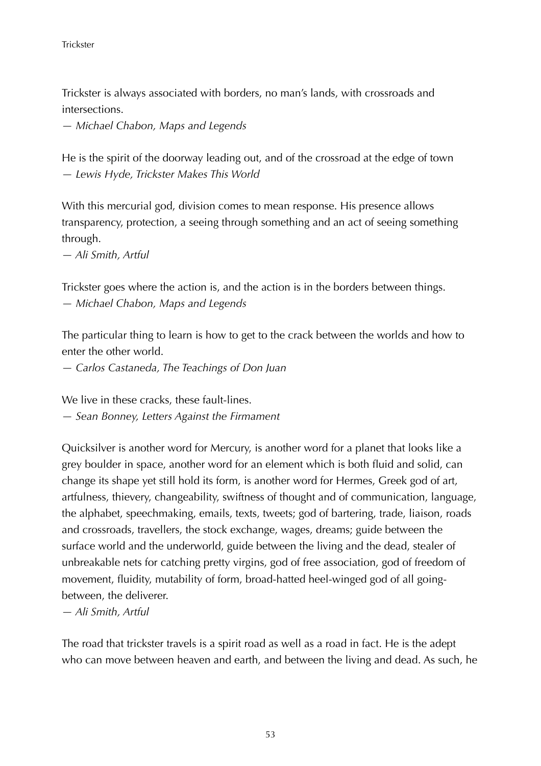Trickster is always associated with borders, no man's lands, with crossroads and intersections.

*— Michael Chabon, Maps and Legends*

He is the spirit of the doorway leading out, and of the crossroad at the edge of town *— Lewis Hyde, Trickster Makes This World*

With this mercurial god, division comes to mean response. His presence allows transparency, protection, a seeing through something and an act of seeing something through.

*— Ali Smith, Artful*

Trickster goes where the action is, and the action is in the borders between things. *— Michael Chabon, Maps and Legends*

The particular thing to learn is how to get to the crack between the worlds and how to enter the other world.

*— Carlos Castaneda, The Teachings of Don Juan*

We live in these cracks, these fault-lines.

*— Sean Bonney, Letters Against the Firmament*

Quicksilver is another word for Mercury, is another word for a planet that looks like a grey boulder in space, another word for an element which is both fluid and solid, can change its shape yet still hold its form, is another word for Hermes, Greek god of art, artfulness, thievery, changeability, swiftness of thought and of communication, language, the alphabet, speechmaking, emails, texts, tweets; god of bartering, trade, liaison, roads and crossroads, travellers, the stock exchange, wages, dreams; guide between the surface world and the underworld, guide between the living and the dead, stealer of unbreakable nets for catching pretty virgins, god of free association, god of freedom of movement, fluidity, mutability of form, broad-hatted heel-winged god of all goingbetween, the deliverer.

*— Ali Smith, Artful*

The road that trickster travels is a spirit road as well as a road in fact. He is the adept who can move between heaven and earth, and between the living and dead. As such, he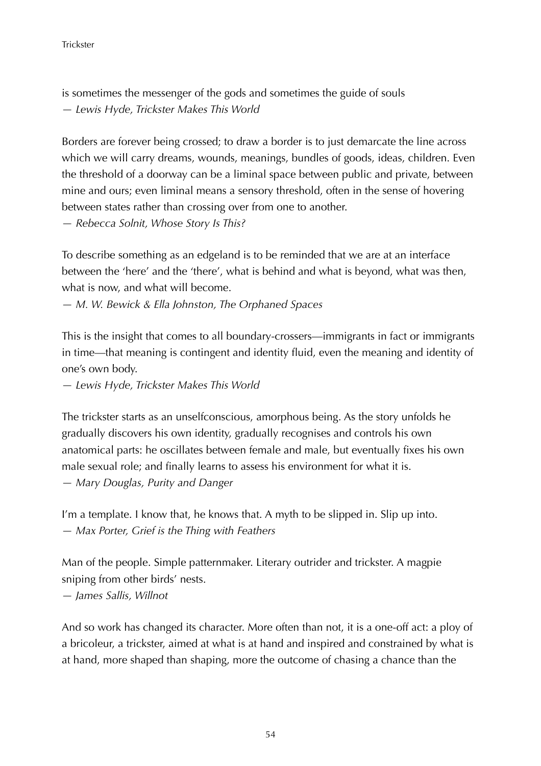**Trickster** 

is sometimes the messenger of the gods and sometimes the guide of souls *— Lewis Hyde, Trickster Makes This World*

Borders are forever being crossed; to draw a border is to just demarcate the line across which we will carry dreams, wounds, meanings, bundles of goods, ideas, children. Even the threshold of a doorway can be a liminal space between public and private, between mine and ours; even liminal means a sensory threshold, often in the sense of hovering between states rather than crossing over from one to another.

*— Rebecca Solnit, Whose Story Is This?*

To describe something as an edgeland is to be reminded that we are at an interface between the 'here' and the 'there', what is behind and what is beyond, what was then, what is now, and what will become.

*— M. W. Bewick & Ella Johnston, The Orphaned Spaces*

This is the insight that comes to all boundary-crossers—immigrants in fact or immigrants in time—that meaning is contingent and identity fluid, even the meaning and identity of one's own body.

*— Lewis Hyde, Trickster Makes This World*

The trickster starts as an unselfconscious, amorphous being. As the story unfolds he gradually discovers his own identity, gradually recognises and controls his own anatomical parts: he oscillates between female and male, but eventually fixes his own male sexual role; and finally learns to assess his environment for what it is. *— Mary Douglas, Purity and Danger*

I'm a template. I know that, he knows that. A myth to be slipped in. Slip up into. *— Max Porter, Grief is the Thing with Feathers*

Man of the people. Simple patternmaker. Literary outrider and trickster. A magpie sniping from other birds' nests.

*— James Sallis, Willnot*

And so work has changed its character. More often than not, it is a one-off act: a ploy of a bricoleur, a trickster, aimed at what is at hand and inspired and constrained by what is at hand, more shaped than shaping, more the outcome of chasing a chance than the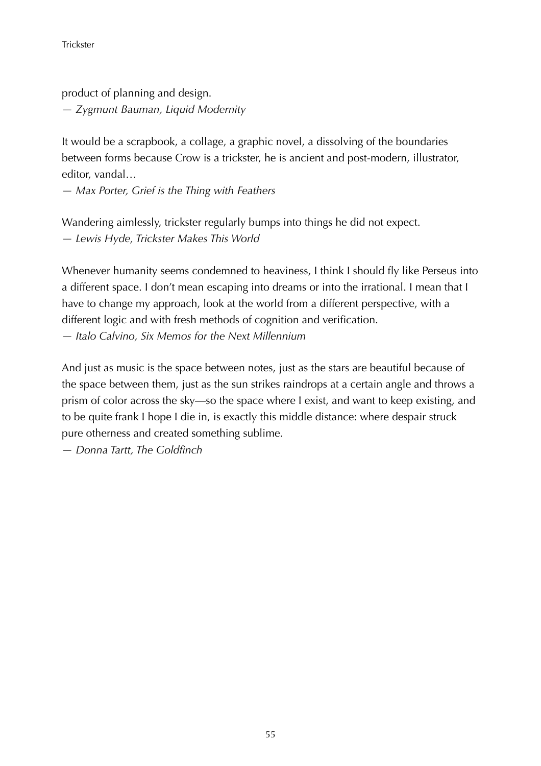product of planning and design. *— Zygmunt Bauman, Liquid Modernity*

It would be a scrapbook, a collage, a graphic novel, a dissolving of the boundaries between forms because Crow is a trickster, he is ancient and post-modern, illustrator, editor, vandal…

*— Max Porter, Grief is the Thing with Feathers*

Wandering aimlessly, trickster regularly bumps into things he did not expect. *— Lewis Hyde, Trickster Makes This World*

Whenever humanity seems condemned to heaviness, I think I should fly like Perseus into a different space. I don't mean escaping into dreams or into the irrational. I mean that I have to change my approach, look at the world from a different perspective, with a different logic and with fresh methods of cognition and verification. *— Italo Calvino, Six Memos for the Next Millennium*

And just as music is the space between notes, just as the stars are beautiful because of the space between them, just as the sun strikes raindrops at a certain angle and throws a prism of color across the sky—so the space where I exist, and want to keep existing, and to be quite frank I hope I die in, is exactly this middle distance: where despair struck pure otherness and created something sublime.

*— Donna Tartt, The Goldfinch*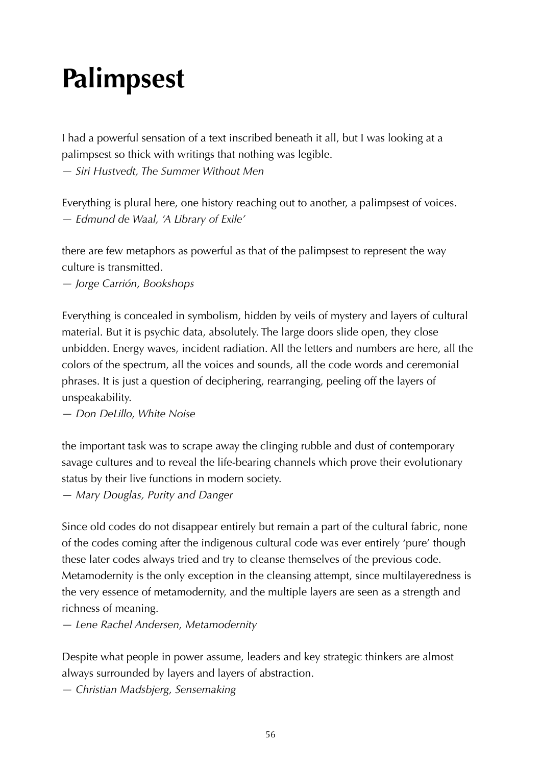# **Palimpsest**

I had a powerful sensation of a text inscribed beneath it all, but I was looking at a palimpsest so thick with writings that nothing was legible. *— Siri Hustvedt, The Summer Without Men*

Everything is plural here, one history reaching out to another, a palimpsest of voices. *— Edmund de Waal, 'A Library of Exile'*

there are few metaphors as powerful as that of the palimpsest to represent the way culture is transmitted.

*— Jorge Carrión, Bookshops*

Everything is concealed in symbolism, hidden by veils of mystery and layers of cultural material. But it is psychic data, absolutely. The large doors slide open, they close unbidden. Energy waves, incident radiation. All the letters and numbers are here, all the colors of the spectrum, all the voices and sounds, all the code words and ceremonial phrases. It is just a question of deciphering, rearranging, peeling off the layers of unspeakability.

*— Don DeLillo, White Noise*

the important task was to scrape away the clinging rubble and dust of contemporary savage cultures and to reveal the life-bearing channels which prove their evolutionary status by their live functions in modern society.

*— Mary Douglas, Purity and Danger*

Since old codes do not disappear entirely but remain a part of the cultural fabric, none of the codes coming after the indigenous cultural code was ever entirely 'pure' though these later codes always tried and try to cleanse themselves of the previous code. Metamodernity is the only exception in the cleansing attempt, since multilayeredness is the very essence of metamodernity, and the multiple layers are seen as a strength and richness of meaning.

*— Lene Rachel Andersen, Metamodernity*

Despite what people in power assume, leaders and key strategic thinkers are almost always surrounded by layers and layers of abstraction.

*— Christian Madsbjerg, Sensemaking*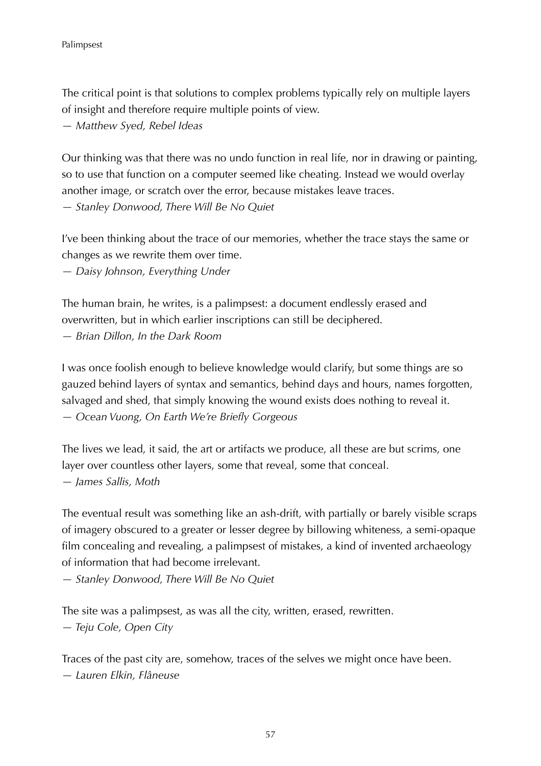The critical point is that solutions to complex problems typically rely on multiple layers of insight and therefore require multiple points of view.

*— Matthew Syed, Rebel Ideas*

Our thinking was that there was no undo function in real life, nor in drawing or painting, so to use that function on a computer seemed like cheating. Instead we would overlay another image, or scratch over the error, because mistakes leave traces. *— Stanley Donwood, There Will Be No Quiet*

I've been thinking about the trace of our memories, whether the trace stays the same or changes as we rewrite them over time.

*— Daisy Johnson, Everything Under*

The human brain, he writes, is a palimpsest: a document endlessly erased and overwritten, but in which earlier inscriptions can still be deciphered. *— Brian Dillon, In the Dark Room*

I was once foolish enough to believe knowledge would clarify, but some things are so gauzed behind layers of syntax and semantics, behind days and hours, names forgotten, salvaged and shed, that simply knowing the wound exists does nothing to reveal it. *— Ocean Vuong, On Earth We're Briefly Gorgeous*

The lives we lead, it said, the art or artifacts we produce, all these are but scrims, one layer over countless other layers, some that reveal, some that conceal. *— James Sallis, Moth*

The eventual result was something like an ash-drift, with partially or barely visible scraps of imagery obscured to a greater or lesser degree by billowing whiteness, a semi-opaque film concealing and revealing, a palimpsest of mistakes, a kind of invented archaeology of information that had become irrelevant.

*— Stanley Donwood, There Will Be No Quiet*

The site was a palimpsest, as was all the city, written, erased, rewritten. *— Teju Cole, Open City*

Traces of the past city are, somehow, traces of the selves we might once have been. *— Lauren Elkin, Flâneuse*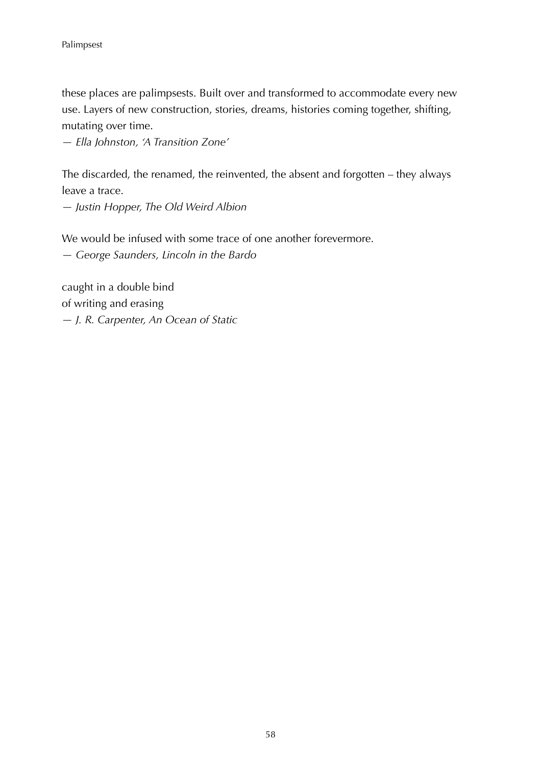these places are palimpsests. Built over and transformed to accommodate every new use. Layers of new construction, stories, dreams, histories coming together, shifting, mutating over time.

*— Ella Johnston, 'A Transition Zone'*

The discarded, the renamed, the reinvented, the absent and forgotten – they always leave a trace.

*— Justin Hopper, The Old Weird Albion*

We would be infused with some trace of one another forevermore. *— George Saunders, Lincoln in the Bardo*

caught in a double bind of writing and erasing *— J. R. Carpenter, An Ocean of Static*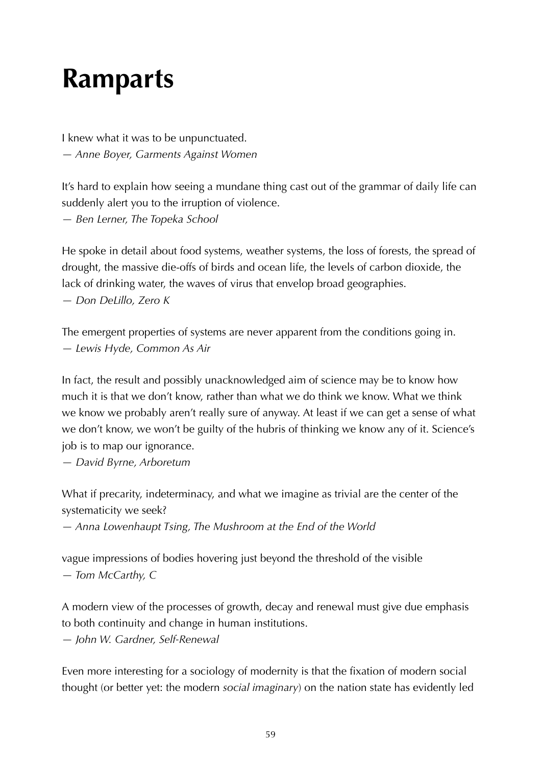### **Ramparts**

I knew what it was to be unpunctuated. *— Anne Boyer, Garments Against Women*

It's hard to explain how seeing a mundane thing cast out of the grammar of daily life can suddenly alert you to the irruption of violence. *— Ben Lerner, The Topeka School*

He spoke in detail about food systems, weather systems, the loss of forests, the spread of drought, the massive die-offs of birds and ocean life, the levels of carbon dioxide, the lack of drinking water, the waves of virus that envelop broad geographies. *— Don DeLillo, Zero K*

The emergent properties of systems are never apparent from the conditions going in. *— Lewis Hyde, Common As Air*

In fact, the result and possibly unacknowledged aim of science may be to know how much it is that we don't know, rather than what we do think we know. What we think we know we probably aren't really sure of anyway. At least if we can get a sense of what we don't know, we won't be guilty of the hubris of thinking we know any of it. Science's job is to map our ignorance.

*— David Byrne, Arboretum*

What if precarity, indeterminacy, and what we imagine as trivial are the center of the systematicity we seek?

*— Anna Lowenhaupt Tsing, The Mushroom at the End of the World*

vague impressions of bodies hovering just beyond the threshold of the visible *— Tom McCarthy, C*

A modern view of the processes of growth, decay and renewal must give due emphasis to both continuity and change in human institutions.

*— John W. Gardner, Self-Renewal*

Even more interesting for a sociology of modernity is that the fixation of modern social thought (or better yet: the modern *social imaginary*) on the nation state has evidently led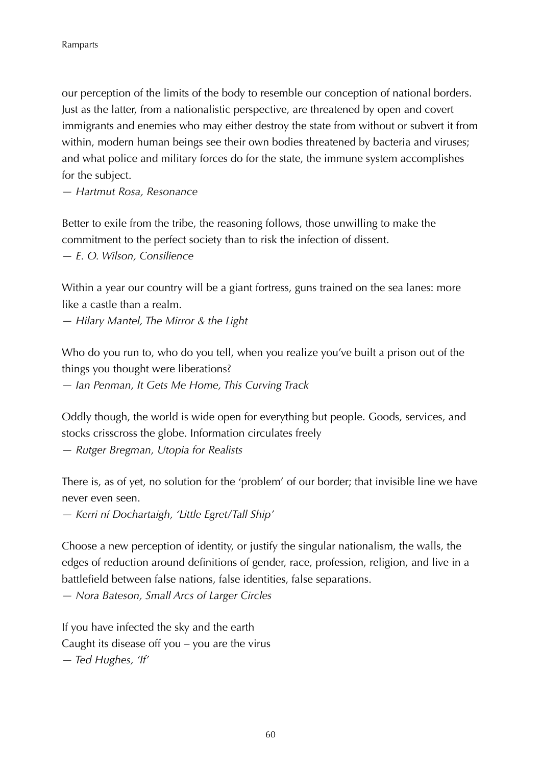our perception of the limits of the body to resemble our conception of national borders. Just as the latter, from a nationalistic perspective, are threatened by open and covert immigrants and enemies who may either destroy the state from without or subvert it from within, modern human beings see their own bodies threatened by bacteria and viruses; and what police and military forces do for the state, the immune system accomplishes for the subject.

*— Hartmut Rosa, Resonance*

Better to exile from the tribe, the reasoning follows, those unwilling to make the commitment to the perfect society than to risk the infection of dissent. *— E. O. Wilson, Consilience*

Within a year our country will be a giant fortress, guns trained on the sea lanes: more like a castle than a realm.

*— Hilary Mantel, The Mirror & the Light*

Who do you run to, who do you tell, when you realize you've built a prison out of the things you thought were liberations? *— Ian Penman, It Gets Me Home, This Curving Track*

Oddly though, the world is wide open for everything but people. Goods, services, and stocks crisscross the globe. Information circulates freely *— Rutger Bregman, Utopia for Realists*

There is, as of yet, no solution for the 'problem' of our border; that invisible line we have never even seen.

*— Kerri ní Dochartaigh, 'Little Egret/Tall Ship'*

Choose a new perception of identity, or justify the singular nationalism, the walls, the edges of reduction around definitions of gender, race, profession, religion, and live in a battlefield between false nations, false identities, false separations.

*— Nora Bateson, Small Arcs of Larger Circles*

If you have infected the sky and the earth Caught its disease off you – you are the virus *— Ted Hughes, 'If'*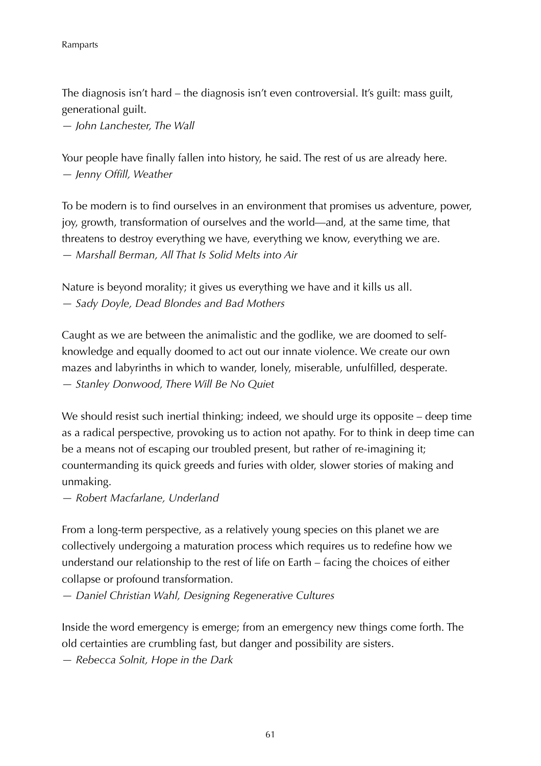The diagnosis isn't hard – the diagnosis isn't even controversial. It's guilt: mass guilt, generational guilt.

*— John Lanchester, The Wall*

Your people have finally fallen into history, he said. The rest of us are already here. *— Jenny Offill, Weather*

To be modern is to find ourselves in an environment that promises us adventure, power, joy, growth, transformation of ourselves and the world—and, at the same time, that threatens to destroy everything we have, everything we know, everything we are. *— Marshall Berman, All That Is Solid Melts into Air*

Nature is beyond morality; it gives us everything we have and it kills us all. *— Sady Doyle, Dead Blondes and Bad Mothers*

Caught as we are between the animalistic and the godlike, we are doomed to selfknowledge and equally doomed to act out our innate violence. We create our own mazes and labyrinths in which to wander, lonely, miserable, unfulfilled, desperate. *— Stanley Donwood, There Will Be No Quiet*

We should resist such inertial thinking; indeed, we should urge its opposite – deep time as a radical perspective, provoking us to action not apathy. For to think in deep time can be a means not of escaping our troubled present, but rather of re-imagining it; countermanding its quick greeds and furies with older, slower stories of making and unmaking.

*— Robert Macfarlane, Underland*

From a long-term perspective, as a relatively young species on this planet we are collectively undergoing a maturation process which requires us to redefine how we understand our relationship to the rest of life on Earth – facing the choices of either collapse or profound transformation.

*— Daniel Christian Wahl, Designing Regenerative Cultures*

Inside the word emergency is emerge; from an emergency new things come forth. The old certainties are crumbling fast, but danger and possibility are sisters.

*— Rebecca Solnit, Hope in the Dark*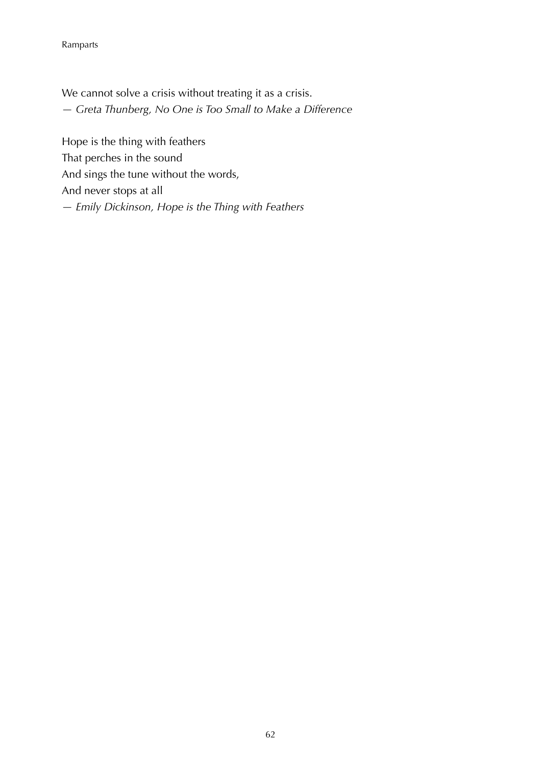#### Ramparts

We cannot solve a crisis without treating it as a crisis. *— Greta Thunberg, No One is Too Small to Make a Difference*

Hope is the thing with feathers That perches in the sound And sings the tune without the words, And never stops at all *— Emily Dickinson, Hope is the Thing with Feathers*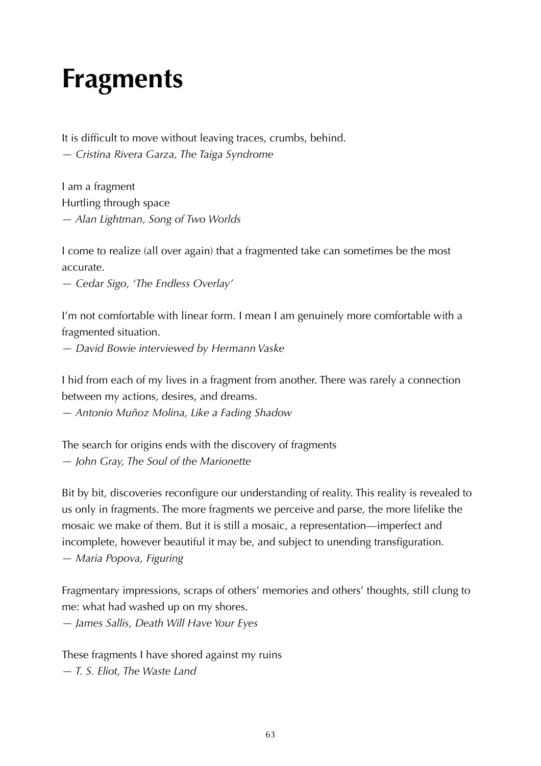### **Fragments**

It is difficult to move without leaving traces, crumbs, behind. *— Cristina Rivera Garza, The Taiga Syndrome*

I am a fragment Hurtling through space *— Alan Lightman, Song of Two Worlds*

I come to realize (all over again) that a fragmented take can sometimes be the most accurate.

*— Cedar Sigo, 'The Endless Overlay'*

I'm not comfortable with linear form. I mean I am genuinely more comfortable with a fragmented situation.

*— David Bowie interviewed by Hermann Vaske*

I hid from each of my lives in a fragment from another. There was rarely a connection between my actions, desires, and dreams.

*— Antonio Muñoz Molina, Like a Fading Shadow*

The search for origins ends with the discovery of fragments *— John Gray, The Soul of the Marionette*

Bit by bit, discoveries reconfigure our understanding of reality. This reality is revealed to us only in fragments. The more fragments we perceive and parse, the more lifelike the mosaic we make of them. But it is still a mosaic, a representation—imperfect and incomplete, however beautiful it may be, and subject to unending transfiguration. *— Maria Popova, Figuring*

Fragmentary impressions, scraps of others' memories and others' thoughts, still clung to me: what had washed up on my shores. *— James Sallis, Death Will Have Your Eyes*

These fragments I have shored against my ruins *— T. S. Eliot, The Waste Land*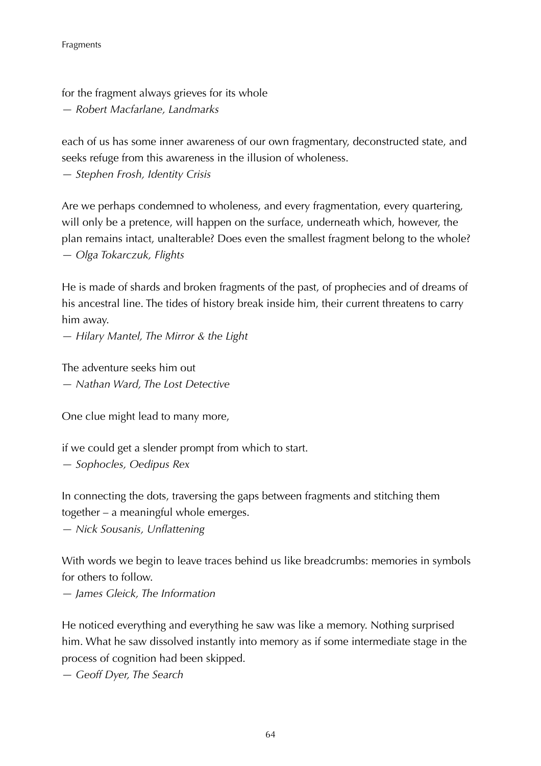for the fragment always grieves for its whole *— Robert Macfarlane, Landmarks*

each of us has some inner awareness of our own fragmentary, deconstructed state, and seeks refuge from this awareness in the illusion of wholeness. *— Stephen Frosh, Identity Crisis*

Are we perhaps condemned to wholeness, and every fragmentation, every quartering, will only be a pretence, will happen on the surface, underneath which, however, the plan remains intact, unalterable? Does even the smallest fragment belong to the whole? *— Olga Tokarczuk, Flights*

He is made of shards and broken fragments of the past, of prophecies and of dreams of his ancestral line. The tides of history break inside him, their current threatens to carry him away.

*— Hilary Mantel, The Mirror & the Light*

The adventure seeks him out *— Nathan Ward, The Lost Detective*

One clue might lead to many more,

if we could get a slender prompt from which to start.

*— Sophocles, Oedipus Rex*

In connecting the dots, traversing the gaps between fragments and stitching them together – a meaningful whole emerges.

*— Nick Sousanis, Unflattening*

With words we begin to leave traces behind us like breadcrumbs: memories in symbols for others to follow.

*— James Gleick, The Information*

He noticed everything and everything he saw was like a memory. Nothing surprised him. What he saw dissolved instantly into memory as if some intermediate stage in the process of cognition had been skipped.

*— Geoff Dyer, The Search*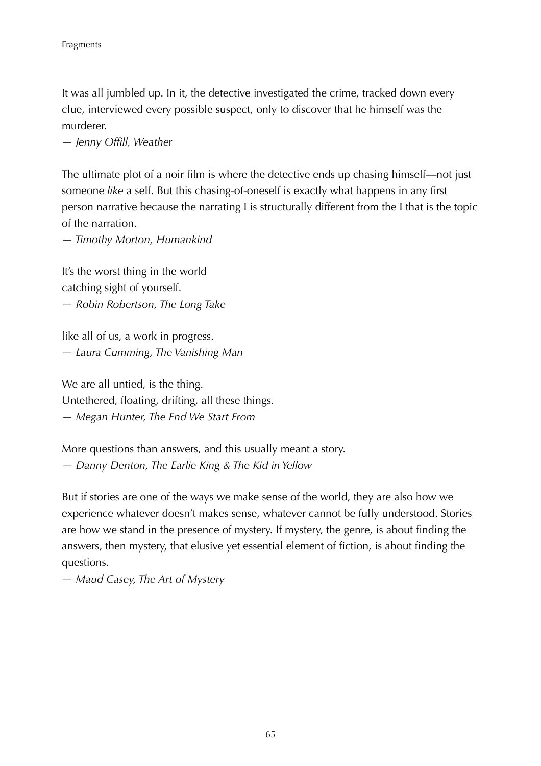It was all jumbled up. In it, the detective investigated the crime, tracked down every clue, interviewed every possible suspect, only to discover that he himself was the murderer.

*— Jenny Offill, Weathe*r

The ultimate plot of a noir film is where the detective ends up chasing himself—not just someone *like* a self. But this chasing-of-oneself is exactly what happens in any first person narrative because the narrating I is structurally different from the I that is the topic of the narration.

*— Timothy Morton, Humankind*

It's the worst thing in the world catching sight of yourself. *— Robin Robertson, The Long Take*

like all of us, a work in progress. *— Laura Cumming, The Vanishing Man*

We are all untied, is the thing. Untethered, floating, drifting, all these things. *— Megan Hunter, The End We Start From*

More questions than answers, and this usually meant a story. *— Danny Denton, The Earlie King & The Kid in Yellow*

But if stories are one of the ways we make sense of the world, they are also how we experience whatever doesn't makes sense, whatever cannot be fully understood. Stories are how we stand in the presence of mystery. If mystery, the genre, is about finding the answers, then mystery, that elusive yet essential element of fiction, is about finding the questions.

*— Maud Casey, The Art of Mystery*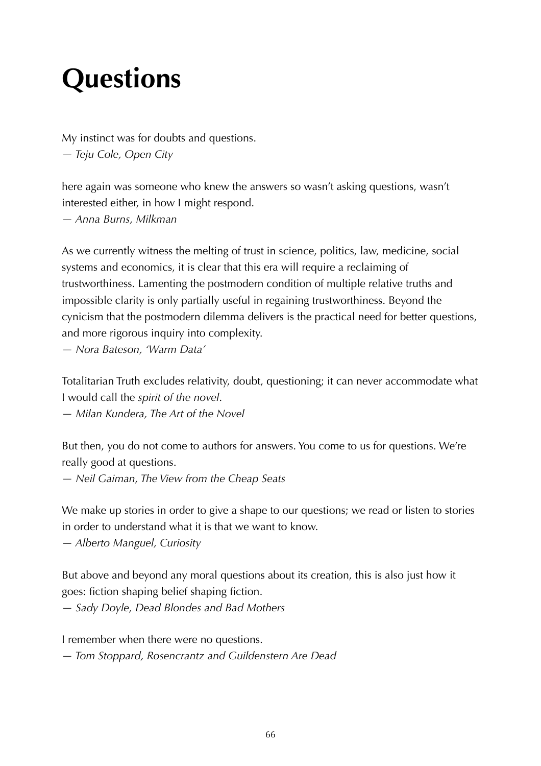## **Questions**

My instinct was for doubts and questions. *— Teju Cole, Open City*

here again was someone who knew the answers so wasn't asking questions, wasn't interested either, in how I might respond. *— Anna Burns, Milkman*

As we currently witness the melting of trust in science, politics, law, medicine, social systems and economics, it is clear that this era will require a reclaiming of trustworthiness. Lamenting the postmodern condition of multiple relative truths and impossible clarity is only partially useful in regaining trustworthiness. Beyond the cynicism that the postmodern dilemma delivers is the practical need for better questions, and more rigorous inquiry into complexity.

*— Nora Bateson, 'Warm Data'*

Totalitarian Truth excludes relativity, doubt, questioning; it can never accommodate what I would call the *spirit of the novel*.

*— Milan Kundera, The Art of the Novel*

But then, you do not come to authors for answers. You come to us for questions. We're really good at questions.

*— Neil Gaiman, The View from the Cheap Seats*

We make up stories in order to give a shape to our questions; we read or listen to stories in order to understand what it is that we want to know.

*— Alberto Manguel, Curiosity*

But above and beyond any moral questions about its creation, this is also just how it goes: fiction shaping belief shaping fiction. *— Sady Doyle, Dead Blondes and Bad Mothers*

I remember when there were no questions.

*— Tom Stoppard, Rosencrantz and Guildenstern Are Dead*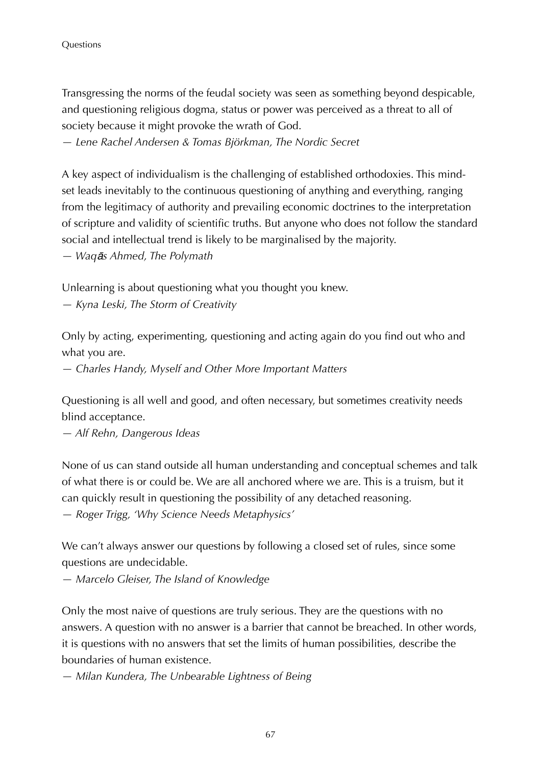Transgressing the norms of the feudal society was seen as something beyond despicable, and questioning religious dogma, status or power was perceived as a threat to all of society because it might provoke the wrath of God.

*— Lene Rachel Andersen & Tomas Björkman, The Nordic Secret*

A key aspect of individualism is the challenging of established orthodoxies. This mindset leads inevitably to the continuous questioning of anything and everything, ranging from the legitimacy of authority and prevailing economic doctrines to the interpretation of scripture and validity of scientific truths. But anyone who does not follow the standard social and intellectual trend is likely to be marginalised by the majority. *— Waq*ā*s Ahmed, The Polymath*

Unlearning is about questioning what you thought you knew.

*— Kyna Leski, The Storm of Creativity*

Only by acting, experimenting, questioning and acting again do you find out who and what you are.

*— Charles Handy, Myself and Other More Important Matters*

Questioning is all well and good, and often necessary, but sometimes creativity needs blind acceptance.

*— Alf Rehn, Dangerous Ideas*

None of us can stand outside all human understanding and conceptual schemes and talk of what there is or could be. We are all anchored where we are. This is a truism, but it can quickly result in questioning the possibility of any detached reasoning. *— Roger Trigg, 'Why Science Needs Metaphysics'*

We can't always answer our questions by following a closed set of rules, since some questions are undecidable.

*— Marcelo Gleiser, The Island of Knowledge*

Only the most naive of questions are truly serious. They are the questions with no answers. A question with no answer is a barrier that cannot be breached. In other words, it is questions with no answers that set the limits of human possibilities, describe the boundaries of human existence.

*— Milan Kundera, The Unbearable Lightness of Being*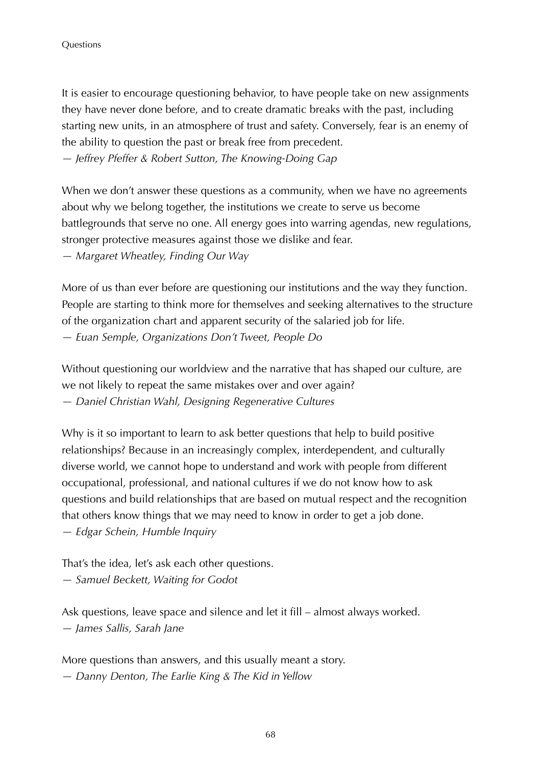#### Questions

It is easier to encourage questioning behavior, to have people take on new assignments they have never done before, and to create dramatic breaks with the past, including starting new units, in an atmosphere of trust and safety. Conversely, fear is an enemy of the ability to question the past or break free from precedent. *— Jeffrey Pfeffer & Robert Sutton, The Knowing-Doing Gap*

When we don't answer these questions as a community, when we have no agreements about why we belong together, the institutions we create to serve us become battlegrounds that serve no one. All energy goes into warring agendas, new regulations, stronger protective measures against those we dislike and fear. *— Margaret Wheatley, Finding Our Way*

More of us than ever before are questioning our institutions and the way they function. People are starting to think more for themselves and seeking alternatives to the structure of the organization chart and apparent security of the salaried job for life. *— Euan Semple, Organizations Don't Tweet, People Do*

Without questioning our worldview and the narrative that has shaped our culture, are we not likely to repeat the same mistakes over and over again? *— Daniel Christian Wahl, Designing Regenerative Cultures*

Why is it so important to learn to ask better questions that help to build positive relationships? Because in an increasingly complex, interdependent, and culturally diverse world, we cannot hope to understand and work with people from different occupational, professional, and national cultures if we do not know how to ask questions and build relationships that are based on mutual respect and the recognition that others know things that we may need to know in order to get a job done. *— Edgar Schein, Humble Inquiry*

That's the idea, let's ask each other questions.

*— Samuel Beckett, Waiting for Godot*

Ask questions, leave space and silence and let it fill – almost always worked. *— James Sallis, Sarah Jane*

More questions than answers, and this usually meant a story. *— Danny Denton, The Earlie King & The Kid in Yellow*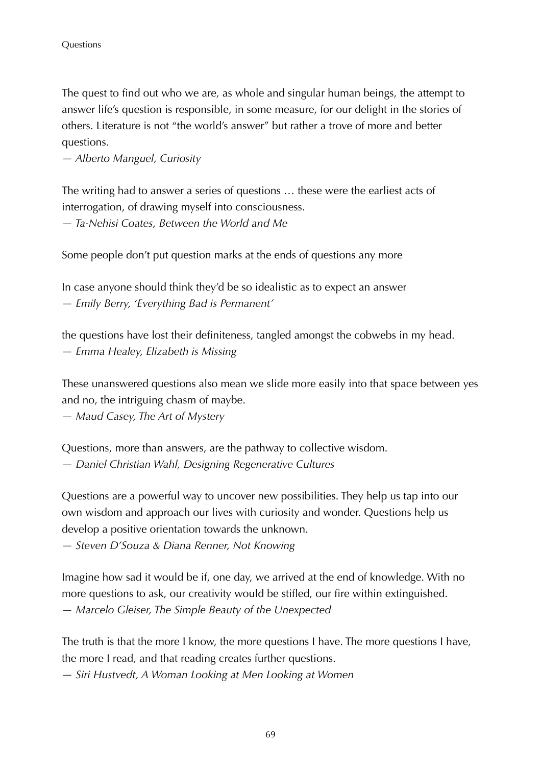The quest to find out who we are, as whole and singular human beings, the attempt to answer life's question is responsible, in some measure, for our delight in the stories of others. Literature is not "the world's answer" but rather a trove of more and better questions.

*— Alberto Manguel, Curiosity*

The writing had to answer a series of questions … these were the earliest acts of interrogation, of drawing myself into consciousness. *— Ta-Nehisi Coates, Between the World and Me*

Some people don't put question marks at the ends of questions any more

In case anyone should think they'd be so idealistic as to expect an answer *— Emily Berry, 'Everything Bad is Permanent'*

the questions have lost their definiteness, tangled amongst the cobwebs in my head. *— Emma Healey, Elizabeth is Missing*

These unanswered questions also mean we slide more easily into that space between yes and no, the intriguing chasm of maybe.

*— Maud Casey, The Art of Mystery*

Questions, more than answers, are the pathway to collective wisdom. *— Daniel Christian Wahl, Designing Regenerative Cultures*

Questions are a powerful way to uncover new possibilities. They help us tap into our own wisdom and approach our lives with curiosity and wonder. Questions help us develop a positive orientation towards the unknown.

*— Steven D'Souza & Diana Renner, Not Knowing*

Imagine how sad it would be if, one day, we arrived at the end of knowledge. With no more questions to ask, our creativity would be stifled, our fire within extinguished. *— Marcelo Gleiser, The Simple Beauty of the Unexpected*

The truth is that the more I know, the more questions I have. The more questions I have, the more I read, and that reading creates further questions.

*— Siri Hustvedt, A Woman Looking at Men Looking at Women*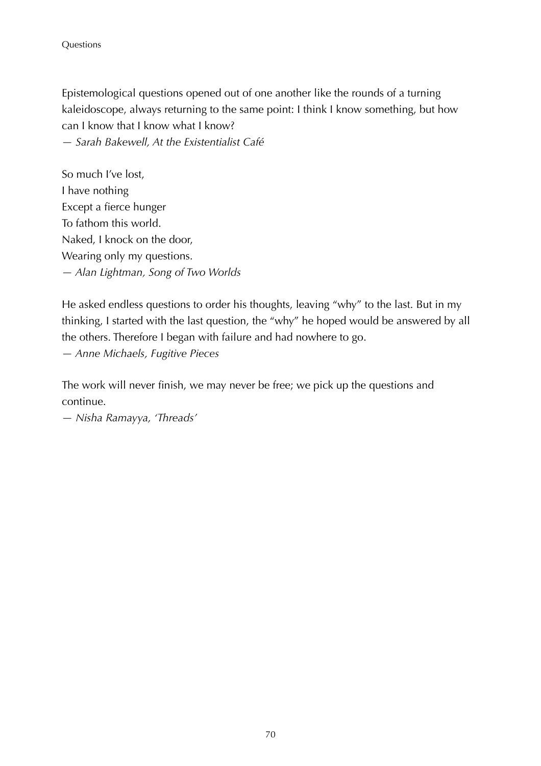Epistemological questions opened out of one another like the rounds of a turning kaleidoscope, always returning to the same point: I think I know something, but how can I know that I know what I know? *— Sarah Bakewell, At the Existentialist Café*

So much I've lost, I have nothing Except a fierce hunger To fathom this world. Naked, I knock on the door, Wearing only my questions. *— Alan Lightman, Song of Two Worlds*

He asked endless questions to order his thoughts, leaving "why" to the last. But in my thinking, I started with the last question, the "why" he hoped would be answered by all the others. Therefore I began with failure and had nowhere to go. *— Anne Michaels, Fugitive Pieces*

The work will never finish, we may never be free; we pick up the questions and continue.

*— Nisha Ramayya, 'Threads'*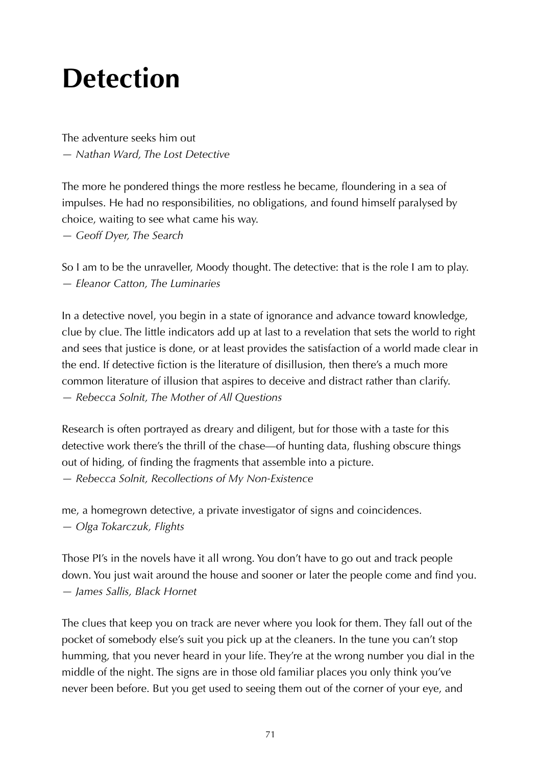### **Detection**

The adventure seeks him out *— Nathan Ward, The Lost Detective*

The more he pondered things the more restless he became, floundering in a sea of impulses. He had no responsibilities, no obligations, and found himself paralysed by choice, waiting to see what came his way.

*— Geoff Dyer, The Search*

So I am to be the unraveller, Moody thought. The detective: that is the role I am to play. *— Eleanor Catton, The Luminaries*

In a detective novel, you begin in a state of ignorance and advance toward knowledge, clue by clue. The little indicators add up at last to a revelation that sets the world to right and sees that justice is done, or at least provides the satisfaction of a world made clear in the end. If detective fiction is the literature of disillusion, then there's a much more common literature of illusion that aspires to deceive and distract rather than clarify. *— Rebecca Solnit, The Mother of All Questions*

Research is often portrayed as dreary and diligent, but for those with a taste for this detective work there's the thrill of the chase—of hunting data, flushing obscure things out of hiding, of finding the fragments that assemble into a picture. *— Rebecca Solnit, Recollections of My Non-Existence*

me, a homegrown detective, a private investigator of signs and coincidences. *— Olga Tokarczuk, Flights*

Those PI's in the novels have it all wrong. You don't have to go out and track people down. You just wait around the house and sooner or later the people come and find you. *— James Sallis, Black Hornet*

The clues that keep you on track are never where you look for them. They fall out of the pocket of somebody else's suit you pick up at the cleaners. In the tune you can't stop humming, that you never heard in your life. They're at the wrong number you dial in the middle of the night. The signs are in those old familiar places you only think you've never been before. But you get used to seeing them out of the corner of your eye, and